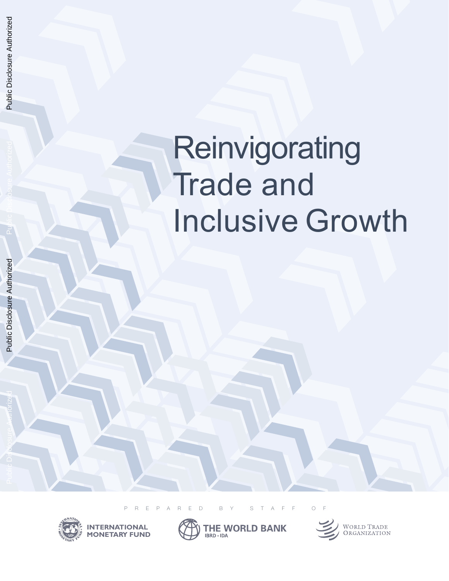# **Reinvigorating Trade and Inclusive Growth**

Public Disclosure Authorized

PREPARED BY STAFF OF





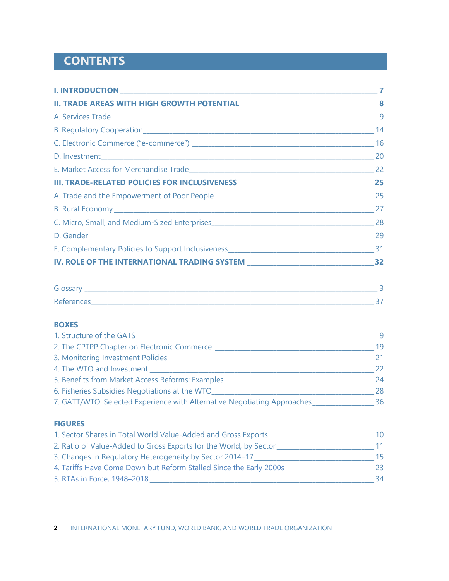# **CONTENTS**

| B. Rural Economy 27 |  |
|---------------------|--|
|                     |  |
|                     |  |
|                     |  |
|                     |  |

| -<br>___                 |  |
|--------------------------|--|
| $D -$<br>Reterenct<br>__ |  |

## **BOXES**

| 1. Structure of the GATS                                                 | - 9 |
|--------------------------------------------------------------------------|-----|
| 2. The CPTPP Chapter on Electronic Commerce ________                     | 19  |
| 3. Monitoring Investment Policies ___                                    | 21  |
| 4. The WTO and Investment                                                | 22  |
| 5. Benefits from Market Access Reforms: Examples                         | 24  |
| 6. Fisheries Subsidies Negotiations at the WTO_                          | 28  |
| 7. GATT/WTO: Selected Experience with Alternative Negotiating Approaches | 36  |

#### **FIGURES**

| 1. Sector Shares in Total World Value-Added and Gross Exports      | 10 |
|--------------------------------------------------------------------|----|
| 2. Ratio of Value-Added to Gross Exports for the World, by Sector  |    |
| 3. Changes in Regulatory Heterogeneity by Sector 2014–17           | 15 |
| 4. Tariffs Have Come Down but Reform Stalled Since the Early 2000s | 23 |
| 5. RTAs in Force, 1948-2018                                        | 34 |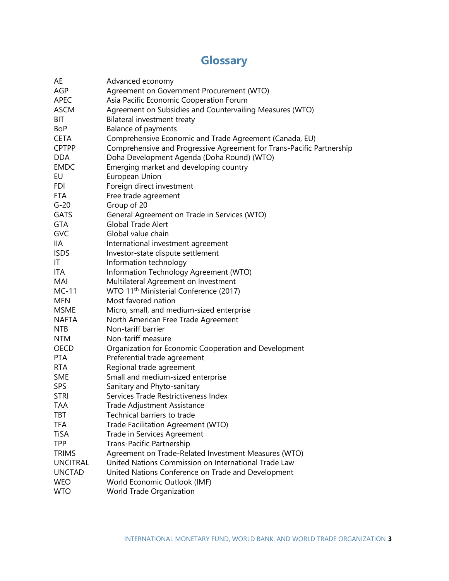# **Glossary**

<span id="page-2-0"></span>

| AE              | Advanced economy                                                      |
|-----------------|-----------------------------------------------------------------------|
| <b>AGP</b>      | Agreement on Government Procurement (WTO)                             |
| <b>APEC</b>     | Asia Pacific Economic Cooperation Forum                               |
| <b>ASCM</b>     | Agreement on Subsidies and Countervailing Measures (WTO)              |
| BIT             | Bilateral investment treaty                                           |
| BoP             | <b>Balance of payments</b>                                            |
| <b>CETA</b>     | Comprehensive Economic and Trade Agreement (Canada, EU)               |
| <b>CPTPP</b>    | Comprehensive and Progressive Agreement for Trans-Pacific Partnership |
| <b>DDA</b>      | Doha Development Agenda (Doha Round) (WTO)                            |
| <b>EMDC</b>     | Emerging market and developing country                                |
| EU              | European Union                                                        |
| FDI             | Foreign direct investment                                             |
| <b>FTA</b>      | Free trade agreement                                                  |
| $G-20$          | Group of 20                                                           |
| <b>GATS</b>     | General Agreement on Trade in Services (WTO)                          |
| <b>GTA</b>      | <b>Global Trade Alert</b>                                             |
| <b>GVC</b>      | Global value chain                                                    |
| IIA             | International investment agreement                                    |
| <b>ISDS</b>     | Investor-state dispute settlement                                     |
| IT              | Information technology                                                |
| ITA             | Information Technology Agreement (WTO)                                |
| MAI             | Multilateral Agreement on Investment                                  |
| MC-11           | WTO 11 <sup>th</sup> Ministerial Conference (2017)                    |
| <b>MFN</b>      | Most favored nation                                                   |
| <b>MSME</b>     | Micro, small, and medium-sized enterprise                             |
| NAFTA           | North American Free Trade Agreement                                   |
| <b>NTB</b>      | Non-tariff barrier                                                    |
| <b>NTM</b>      | Non-tariff measure                                                    |
| OECD            | Organization for Economic Cooperation and Development                 |
| PTA             | Preferential trade agreement                                          |
| <b>RTA</b>      | Regional trade agreement                                              |
| <b>SME</b>      | Small and medium-sized enterprise                                     |
| <b>SPS</b>      | Sanitary and Phyto-sanitary                                           |
| <b>STRI</b>     | Services Trade Restrictiveness Index                                  |
| TAA             | Trade Adjustment Assistance                                           |
| TBT             | Technical barriers to trade                                           |
| TFA             | Trade Facilitation Agreement (WTO)                                    |
| TiSA            | Trade in Services Agreement                                           |
| <b>TPP</b>      | Trans-Pacific Partnership                                             |
| <b>TRIMS</b>    | Agreement on Trade-Related Investment Measures (WTO)                  |
| <b>UNCITRAL</b> | United Nations Commission on International Trade Law                  |
| <b>UNCTAD</b>   | United Nations Conference on Trade and Development                    |
| <b>WEO</b>      | World Economic Outlook (IMF)                                          |
| <b>WTO</b>      | World Trade Organization                                              |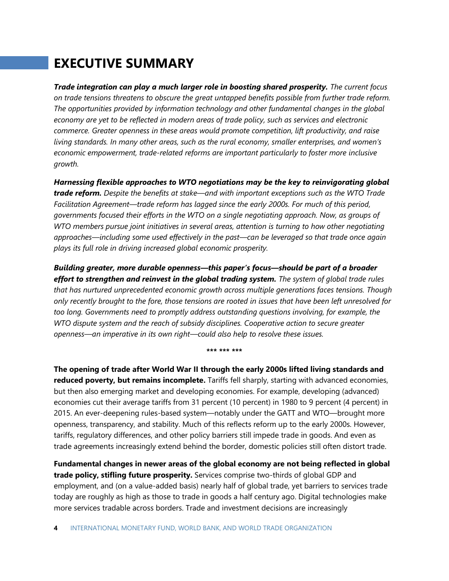# **EXECUTIVE SUMMARY**

*Trade integration can play a much larger role in boosting shared prosperity. The current focus on trade tensions threatens to obscure the great untapped benefits possible from further trade reform. The opportunities provided by information technology and other fundamental changes in the global economy are yet to be reflected in modern areas of trade policy, such as services and electronic commerce. Greater openness in these areas would promote competition, lift productivity, and raise living standards. In many other areas, such as the rural economy, smaller enterprises, and women's economic empowerment, trade-related reforms are important particularly to foster more inclusive growth.* 

*Harnessing flexible approaches to WTO negotiations may be the key to reinvigorating global trade reform. Despite the benefits at stake—and with important exceptions such as the WTO Trade Facilitation Agreement—trade reform has lagged since the early 2000s. For much of this period, governments focused their efforts in the WTO on a single negotiating approach. Now, as groups of WTO members pursue joint initiatives in several areas, attention is turning to how other negotiating approaches—including some used effectively in the past—can be leveraged so that trade once again plays its full role in driving increased global economic prosperity.* 

*Building greater, more durable openness—this paper's focus—should be part of a broader effort to strengthen and reinvest in the global trading system. The system of global trade rules that has nurtured unprecedented economic growth across multiple generations faces tensions. Though only recently brought to the fore, those tensions are rooted in issues that have been left unresolved for*  too long. Governments need to promptly address outstanding questions involving, for example, the *WTO dispute system and the reach of subsidy disciplines. Cooperative action to secure greater openness—an imperative in its own right—could also help to resolve these issues.* 

**\*\*\* \*\*\* \*\*\***

**The opening of trade after World War II through the early 2000s lifted living standards and reduced poverty, but remains incomplete.** Tariffs fell sharply, starting with advanced economies, but then also emerging market and developing economies. For example, developing (advanced) economies cut their average tariffs from 31 percent (10 percent) in 1980 to 9 percent (4 percent) in 2015. An ever-deepening rules-based system—notably under the GATT and WTO—brought more openness, transparency, and stability. Much of this reflects reform up to the early 2000s. However, tariffs, regulatory differences, and other policy barriers still impede trade in goods. And even as trade agreements increasingly extend behind the border, domestic policies still often distort trade.

**Fundamental changes in newer areas of the global economy are not being reflected in global trade policy, stifling future prosperity.** Services comprise two-thirds of global GDP and employment, and (on a value-added basis) nearly half of global trade, yet barriers to services trade today are roughly as high as those to trade in goods a half century ago. Digital technologies make more services tradable across borders. Trade and investment decisions are increasingly

**4** INTERNATIONAL MONETARY FUND, WORLD BANK, AND WORLD TRADE ORGANIZATION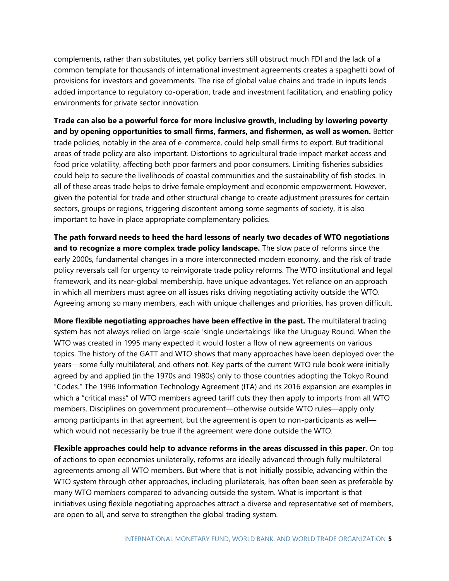complements, rather than substitutes, yet policy barriers still obstruct much FDI and the lack of a common template for thousands of international investment agreements creates a spaghetti bowl of provisions for investors and governments. The rise of global value chains and trade in inputs lends added importance to regulatory co-operation, trade and investment facilitation, and enabling policy environments for private sector innovation.

**Trade can also be a powerful force for more inclusive growth, including by lowering poverty and by opening opportunities to small firms, farmers, and fishermen, as well as women.** Better trade policies, notably in the area of e-commerce, could help small firms to export. But traditional areas of trade policy are also important. Distortions to agricultural trade impact market access and food price volatility, affecting both poor farmers and poor consumers. Limiting fisheries subsidies could help to secure the livelihoods of coastal communities and the sustainability of fish stocks. In all of these areas trade helps to drive female employment and economic empowerment. However, given the potential for trade and other structural change to create adjustment pressures for certain sectors, groups or regions, triggering discontent among some segments of society, it is also important to have in place appropriate complementary policies.

**The path forward needs to heed the hard lessons of nearly two decades of WTO negotiations and to recognize a more complex trade policy landscape.** The slow pace of reforms since the early 2000s, fundamental changes in a more interconnected modern economy, and the risk of trade policy reversals call for urgency to reinvigorate trade policy reforms. The WTO institutional and legal framework, and its near-global membership, have unique advantages. Yet reliance on an approach in which all members must agree on all issues risks driving negotiating activity outside the WTO. Agreeing among so many members, each with unique challenges and priorities, has proven difficult.

**More flexible negotiating approaches have been effective in the past.** The multilateral trading system has not always relied on large-scale 'single undertakings' like the Uruguay Round. When the WTO was created in 1995 many expected it would foster a flow of new agreements on various topics. The history of the GATT and WTO shows that many approaches have been deployed over the years—some fully multilateral, and others not. Key parts of the current WTO rule book were initially agreed by and applied (in the 1970s and 1980s) only to those countries adopting the Tokyo Round "Codes." The 1996 Information Technology Agreement (ITA) and its 2016 expansion are examples in which a "critical mass" of WTO members agreed tariff cuts they then apply to imports from all WTO members. Disciplines on government procurement—otherwise outside WTO rules—apply only among participants in that agreement, but the agreement is open to non-participants as well which would not necessarily be true if the agreement were done outside the WTO.

**Flexible approaches could help to advance reforms in the areas discussed in this paper.** On top of actions to open economies unilaterally, reforms are ideally advanced through fully multilateral agreements among all WTO members. But where that is not initially possible, advancing within the WTO system through other approaches, including plurilaterals, has often been seen as preferable by many WTO members compared to advancing outside the system. What is important is that initiatives using flexible negotiating approaches attract a diverse and representative set of members, are open to all, and serve to strengthen the global trading system.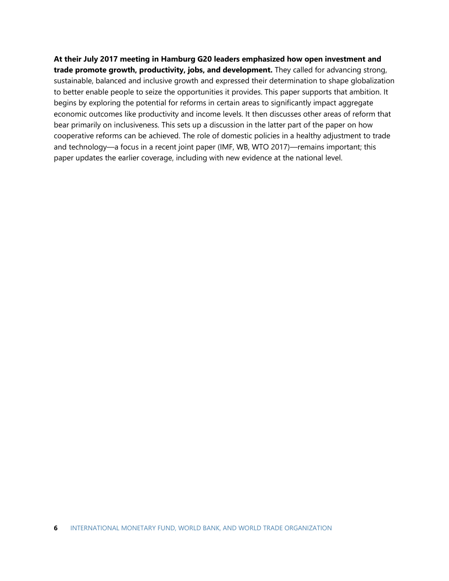## **At their July 2017 meeting in Hamburg G20 leaders emphasized how open investment and trade promote growth, productivity, jobs, and development.** They called for advancing strong, sustainable, balanced and inclusive growth and expressed their determination to shape globalization to better enable people to seize the opportunities it provides. This paper supports that ambition. It begins by exploring the potential for reforms in certain areas to significantly impact aggregate economic outcomes like productivity and income levels. It then discusses other areas of reform that bear primarily on inclusiveness. This sets up a discussion in the latter part of the paper on how cooperative reforms can be achieved. The role of domestic policies in a healthy adjustment to trade and technology—a focus in a recent joint paper (IMF, WB, WTO 2017)—remains important; this paper updates the earlier coverage, including with new evidence at the national level.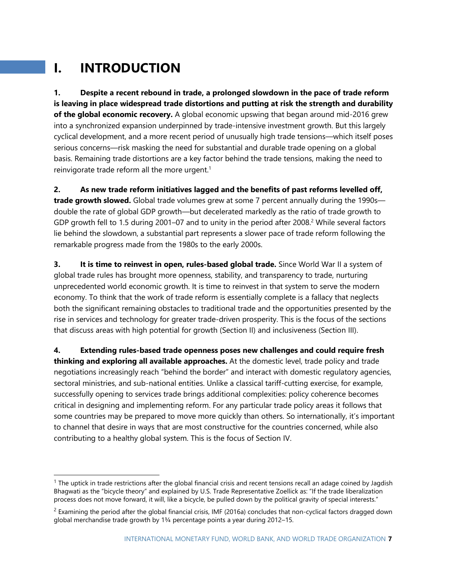# **I. INTRODUCTION**

**1. Despite a recent rebound in trade, a prolonged slowdown in the pace of trade reform is leaving in place widespread trade distortions and putting at risk the strength and durability of the global economic recovery.** A global economic upswing that began around mid-2016 grew into a synchronized expansion underpinned by trade-intensive investment growth. But this largely cyclical development, and a more recent period of unusually high trade tensions—which itself poses serious concerns—risk masking the need for substantial and durable trade opening on a global basis. Remaining trade distortions are a key factor behind the trade tensions, making the need to reinvigorate trade reform all the more urgent. $1$ 

**2. As new trade reform initiatives lagged and the benefits of past reforms levelled off, trade growth slowed.** Global trade volumes grew at some 7 percent annually during the 1990s double the rate of global GDP growth—but decelerated markedly as the ratio of trade growth to GDP growth fell to 1.5 during 2001–07 and to unity in the period after 2008.<sup>2</sup> While several factors lie behind the slowdown, a substantial part represents a slower pace of trade reform following the remarkable progress made from the 1980s to the early 2000s.

**3. It is time to reinvest in open, rules-based global trade.** Since World War II a system of global trade rules has brought more openness, stability, and transparency to trade, nurturing unprecedented world economic growth. It is time to reinvest in that system to serve the modern economy. To think that the work of trade reform is essentially complete is a fallacy that neglects both the significant remaining obstacles to traditional trade and the opportunities presented by the rise in services and technology for greater trade-driven prosperity. This is the focus of the sections that discuss areas with high potential for growth (Section II) and inclusiveness (Section III).

**4. Extending rules-based trade openness poses new challenges and could require fresh thinking and exploring all available approaches.** At the domestic level, trade policy and trade negotiations increasingly reach "behind the border" and interact with domestic regulatory agencies, sectoral ministries, and sub-national entities. Unlike a classical tariff-cutting exercise, for example, successfully opening to services trade brings additional complexities: policy coherence becomes critical in designing and implementing reform. For any particular trade policy areas it follows that some countries may be prepared to move more quickly than others. So internationally, it's important to channel that desire in ways that are most constructive for the countries concerned, while also contributing to a healthy global system. This is the focus of Section IV.

 $1$  The uptick in trade restrictions after the global financial crisis and recent tensions recall an adage coined by Jagdish Bhagwati as the "bicycle theory" and explained by U.S. Trade Representative Zoellick as: "If the trade liberalization process does not move forward, it will, like a bicycle, be pulled down by the political gravity of special interests."

 $2$  Examining the period after the global financial crisis, IMF (2016a) concludes that non-cyclical factors dragged down global merchandise trade growth by 1¾ percentage points a year during 2012–15.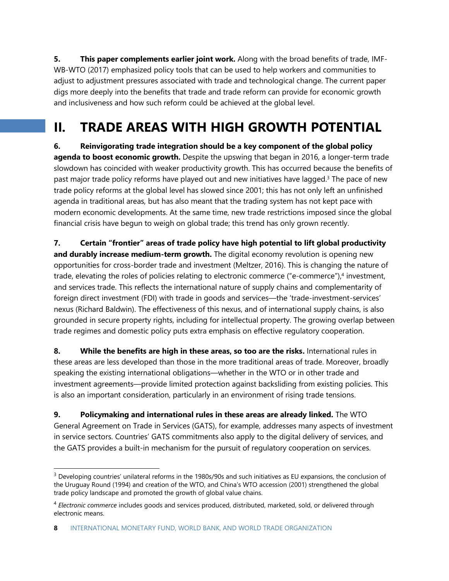**5. This paper complements earlier joint work.** Along with the broad benefits of trade, IMF-WB-WTO (2017) emphasized policy tools that can be used to help workers and communities to adjust to adjustment pressures associated with trade and technological change. The current paper digs more deeply into the benefits that trade and trade reform can provide for economic growth and inclusiveness and how such reform could be achieved at the global level.

# **II. TRADE AREAS WITH HIGH GROWTH POTENTIAL**

**6. Reinvigorating trade integration should be a key component of the global policy agenda to boost economic growth.** Despite the upswing that began in 2016, a longer-term trade slowdown has coincided with weaker productivity growth. This has occurred because the benefits of past major trade policy reforms have played out and new initiatives have lagged.<sup>3</sup> The pace of new trade policy reforms at the global level has slowed since 2001; this has not only left an unfinished agenda in traditional areas, but has also meant that the trading system has not kept pace with modern economic developments. At the same time, new trade restrictions imposed since the global financial crisis have begun to weigh on global trade; this trend has only grown recently.

**7. Certain "frontier" areas of trade policy have high potential to lift global productivity and durably increase medium-term growth.** The digital economy revolution is opening new opportunities for cross-border trade and investment (Meltzer, 2016). This is changing the nature of trade, elevating the roles of policies relating to electronic commerce ("e-commerce"), 4 investment, and services trade. This reflects the international nature of supply chains and complementarity of foreign direct investment (FDI) with trade in goods and services—the 'trade-investment-services' nexus (Richard Baldwin). The effectiveness of this nexus, and of international supply chains, is also grounded in secure property rights, including for intellectual property. The growing overlap between trade regimes and domestic policy puts extra emphasis on effective regulatory cooperation.

**8. While the benefits are high in these areas, so too are the risks.** International rules in these areas are less developed than those in the more traditional areas of trade. Moreover, broadly speaking the existing international obligations—whether in the WTO or in other trade and investment agreements—provide limited protection against backsliding from existing policies. This is also an important consideration, particularly in an environment of rising trade tensions.

**9. Policymaking and international rules in these areas are already linked.** The WTO General Agreement on Trade in Services (GATS), for example, addresses many aspects of investment in service sectors. Countries' GATS commitments also apply to the digital delivery of services, and the GATS provides a built-in mechanism for the pursuit of regulatory cooperation on services.

<sup>&</sup>lt;sup>3</sup> Developing countries' unilateral reforms in the 1980s/90s and such initiatives as EU expansions, the conclusion of the Uruguay Round (1994) and creation of the WTO, and China's WTO accession (2001) strengthened the global trade policy landscape and promoted the growth of global value chains.

<sup>4</sup> *Electronic commerce* includes goods and services produced, distributed, marketed, sold, or delivered through electronic means.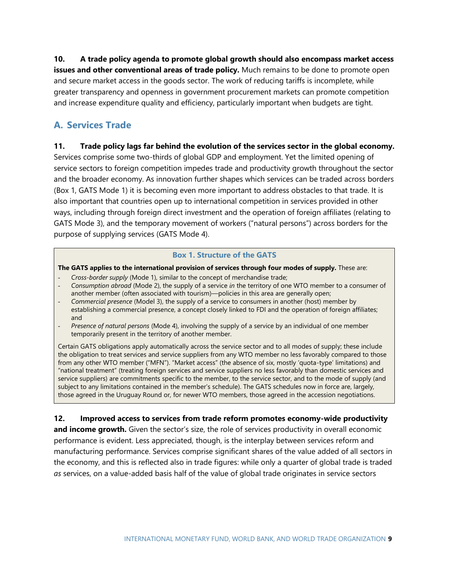**10. A trade policy agenda to promote global growth should also encompass market access issues and other conventional areas of trade policy.** Much remains to be done to promote open and secure market access in the goods sector. The work of reducing tariffs is incomplete, while greater transparency and openness in government procurement markets can promote competition and increase expenditure quality and efficiency, particularly important when budgets are tight.

# **A. Services Trade**

#### **11. Trade policy lags far behind the evolution of the services sector in the global economy.**

Services comprise some two-thirds of global GDP and employment. Yet the limited opening of service sectors to foreign competition impedes trade and productivity growth throughout the sector and the broader economy. As innovation further shapes which services can be traded across borders (Box 1, GATS Mode 1) it is becoming even more important to address obstacles to that trade. It is also important that countries open up to international competition in services provided in other ways, including through foreign direct investment and the operation of foreign affiliates (relating to GATS Mode 3), and the temporary movement of workers ("natural persons") across borders for the purpose of supplying services (GATS Mode 4).

#### **Box 1. Structure of the GATS**

**The GATS applies to the international provision of services through four modes of supply.** These are:

- *Cross-border supply* (Mode 1), similar to the concept of merchandise trade;
- *Consumption abroad* (Mode 2), the supply of a service *in* the territory of one WTO member to a consumer of another member (often associated with tourism)—policies in this area are generally open;
- *Commercial presence* (Model 3), the supply of a service to consumers in another (host) member by establishing a commercial presence, a concept closely linked to FDI and the operation of foreign affiliates; and
- *Presence of natural persons* (Mode 4), involving the supply of a service by an individual of one member temporarily present in the territory of another member.

Certain GATS obligations apply automatically across the service sector and to all modes of supply; these include the obligation to treat services and service suppliers from any WTO member no less favorably compared to those from any other WTO member ("MFN"). "Market access" (the absence of six, mostly 'quota-type' limitations) and "national treatment" (treating foreign services and service suppliers no less favorably than domestic services and service suppliers) are commitments specific to the member, to the service sector, and to the mode of supply (and subject to any limitations contained in the member's schedule). The GATS schedules now in force are, largely, those agreed in the Uruguay Round or, for newer WTO members, those agreed in the accession negotiations.

#### **12. Improved access to services from trade reform promotes economy-wide productivity**

**and income growth.** Given the sector's size, the role of services productivity in overall economic performance is evident. Less appreciated, though, is the interplay between services reform and manufacturing performance. Services comprise significant shares of the value added of all sectors in the economy, and this is reflected also in trade figures: while only a quarter of global trade is traded *as* services, on a value-added basis half of the value of global trade originates in service sectors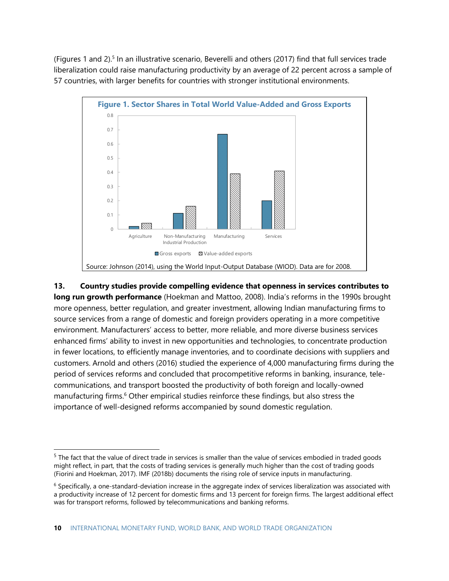(Figures 1 and 2). 5 In an illustrative scenario, Beverelli and others (2017) find that full services trade liberalization could raise manufacturing productivity by an average of 22 percent across a sample of 57 countries, with larger benefits for countries with stronger institutional environments.



**13. Country studies provide compelling evidence that openness in services contributes to long run growth performance** (Hoekman and Mattoo, 2008). India's reforms in the 1990s brought more openness, better regulation, and greater investment, allowing Indian manufacturing firms to source services from a range of domestic and foreign providers operating in a more competitive environment. Manufacturers' access to better, more reliable, and more diverse business services enhanced firms' ability to invest in new opportunities and technologies, to concentrate production in fewer locations, to efficiently manage inventories, and to coordinate decisions with suppliers and customers. Arnold and others (2016) studied the experience of 4,000 manufacturing firms during the period of services reforms and concluded that procompetitive reforms in banking, insurance, telecommunications, and transport boosted the productivity of both foreign and locally-owned manufacturing firms.<sup>6</sup> Other empirical studies reinforce these findings, but also stress the importance of well-designed reforms accompanied by sound domestic regulation.

<sup>&</sup>lt;sup>5</sup> The fact that the value of direct trade in services is smaller than the value of services embodied in traded goods might reflect, in part, that the costs of trading services is generally much higher than the cost of trading goods (Fiorini and Hoekman, 2017). IMF (2018b) documents the rising role of service inputs in manufacturing.

 $6$  Specifically, a one-standard-deviation increase in the aggregate index of services liberalization was associated with a productivity increase of 12 percent for domestic firms and 13 percent for foreign firms. The largest additional effect was for transport reforms, followed by telecommunications and banking reforms.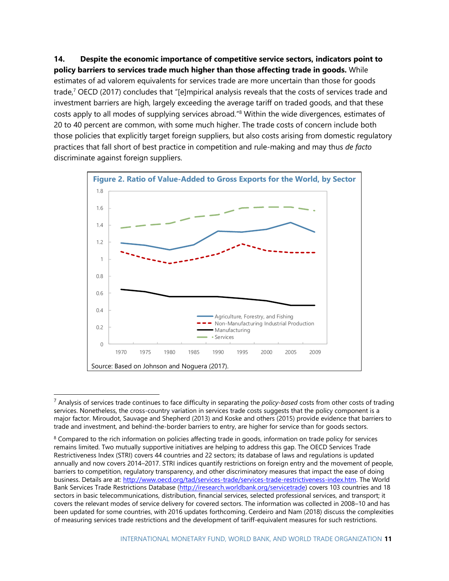**14. Despite the economic importance of competitive service sectors, indicators point to policy barriers to services trade much higher than those affecting trade in goods.** While estimates of ad valorem equivalents for services trade are more uncertain than those for goods trade,<sup>7</sup> OECD (2017) concludes that "[e]mpirical analysis reveals that the costs of services trade and investment barriers are high, largely exceeding the average tariff on traded goods, and that these costs apply to all modes of supplying services abroad."<sup>8</sup> Within the wide divergences, estimates of 20 to 40 percent are common, with some much higher. The trade costs of concern include both those policies that explicitly target foreign suppliers, but also costs arising from domestic regulatory practices that fall short of best practice in competition and rule-making and may thus *de facto* discriminate against foreign suppliers.



<sup>7</sup> Analysis of services trade continues to face difficulty in separating the *policy-based* costs from other costs of trading services. Nonetheless, the cross-country variation in services trade costs suggests that the policy component is a major factor. Miroudot, Sauvage and Shepherd (2013) and Koske and others (2015) provide evidence that barriers to trade and investment, and behind-the-border barriers to entry, are higher for service than for goods sectors.

<sup>&</sup>lt;sup>8</sup> Compared to the rich information on policies affecting trade in goods, information on trade policy for services remains limited. Two mutually supportive initiatives are helping to address this gap. The OECD Services Trade Restrictiveness Index (STRI) covers 44 countries and 22 sectors; its database of laws and regulations is updated annually and now covers 2014–2017. STRI indices quantify restrictions on foreign entry and the movement of people, barriers to competition, regulatory transparency, and other discriminatory measures that impact the ease of doing business. Details are at: [http://www.oecd.org/tad/services-trade/services-trade-restrictiveness-index.htm.](http://www.oecd.org/tad/services-trade/services-trade-restrictiveness-index.htm) The World Bank Services Trade Restrictions Database [\(http://iresearch.worldbank.org/servicetrade\)](http://iresearch.worldbank.org/servicetrade) covers 103 countries and 18 sectors in basic telecommunications, distribution, financial services, selected professional services, and transport; it covers the relevant modes of service delivery for covered sectors. The information was collected in 2008–10 and has been updated for some countries, with 2016 updates forthcoming. Cerdeiro and Nam (2018) discuss the complexities of measuring services trade restrictions and the development of tariff-equivalent measures for such restrictions.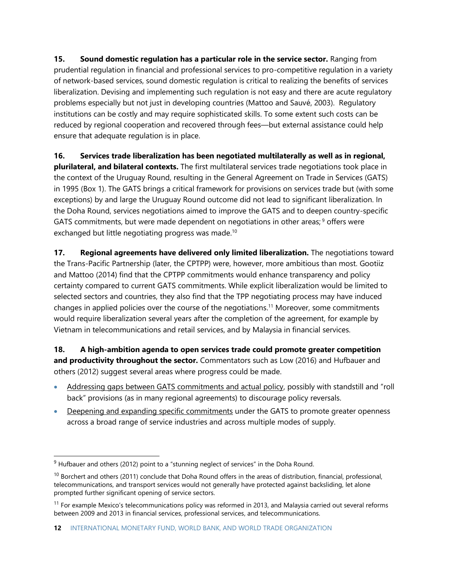**15. Sound domestic regulation has a particular role in the service sector.** Ranging from prudential regulation in financial and professional services to pro-competitive regulation in a variety of network-based services, sound domestic regulation is critical to realizing the benefits of services liberalization. Devising and implementing such regulation is not easy and there are acute regulatory problems especially but not just in developing countries (Mattoo and Sauvé, 2003). Regulatory institutions can be costly and may require sophisticated skills. To some extent such costs can be reduced by regional cooperation and recovered through fees—but external assistance could help ensure that adequate regulation is in place.

**16. Services trade liberalization has been negotiated multilaterally as well as in regional, plurilateral, and bilateral contexts.** The first multilateral services trade negotiations took place in the context of the Uruguay Round, resulting in the General Agreement on Trade in Services (GATS) in 1995 (Box 1). The GATS brings a critical framework for provisions on services trade but (with some exceptions) by and large the Uruguay Round outcome did not lead to significant liberalization. In the Doha Round, services negotiations aimed to improve the GATS and to deepen country-specific GATS commitments, but were made dependent on negotiations in other areas;<sup>9</sup> offers were exchanged but little negotiating progress was made.<sup>10</sup>

**17. Regional agreements have delivered only limited liberalization.** The negotiations toward the Trans-Pacific Partnership (later, the CPTPP) were, however, more ambitious than most. Gootiiz and Mattoo (2014) find that the CPTPP commitments would enhance transparency and policy certainty compared to current GATS commitments. While explicit liberalization would be limited to selected sectors and countries, they also find that the TPP negotiating process may have induced changes in applied policies over the course of the negotiations. <sup>11</sup> Moreover, some commitments would require liberalization several years after the completion of the agreement, for example by Vietnam in telecommunications and retail services, and by Malaysia in financial services.

**18. A high-ambition agenda to open services trade could promote greater competition and productivity throughout the sector.** Commentators such as Low (2016) and Hufbauer and others (2012) suggest several areas where progress could be made.

- Addressing gaps between GATS commitments and actual policy, possibly with standstill and "roll back" provisions (as in many regional agreements) to discourage policy reversals.
- Deepening and expanding specific commitments under the GATS to promote greater openness across a broad range of service industries and across multiple modes of supply.

 $9$  Hufbauer and others (2012) point to a "stunning neglect of services" in the Doha Round.

 $10$  Borchert and others (2011) conclude that Doha Round offers in the areas of distribution, financial, professional, telecommunications, and transport services would not generally have protected against backsliding, let alone prompted further significant opening of service sectors.

<sup>&</sup>lt;sup>11</sup> For example Mexico's telecommunications policy was reformed in 2013, and Malaysia carried out several reforms between 2009 and 2013 in financial services, professional services, and telecommunications.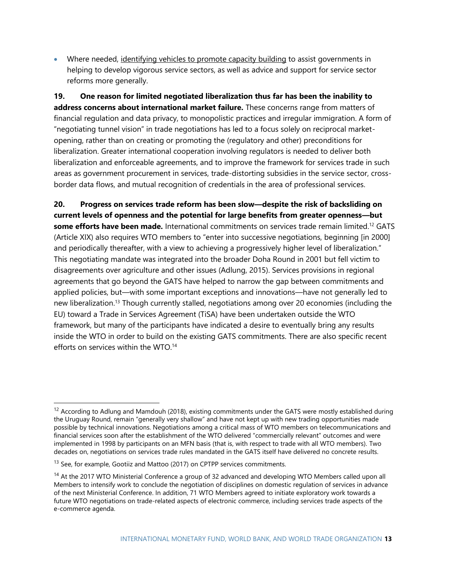• Where needed, identifying vehicles to promote capacity building to assist governments in helping to develop vigorous service sectors, as well as advice and support for service sector reforms more generally.

**19. One reason for limited negotiated liberalization thus far has been the inability to address concerns about international market failure.** These concerns range from matters of financial regulation and data privacy, to monopolistic practices and irregular immigration. A form of "negotiating tunnel vision" in trade negotiations has led to a focus solely on reciprocal marketopening, rather than on creating or promoting the (regulatory and other) preconditions for liberalization. Greater international cooperation involving regulators is needed to deliver both liberalization and enforceable agreements, and to improve the framework for services trade in such areas as government procurement in services, trade-distorting subsidies in the service sector, crossborder data flows, and mutual recognition of credentials in the area of professional services.

**20. Progress on services trade reform has been slow—despite the risk of backsliding on current levels of openness and the potential for large benefits from greater openness—but some efforts have been made.** International commitments on services trade remain limited. <sup>12</sup> GATS (Article XIX) also requires WTO members to "enter into successive negotiations, beginning [in 2000] and periodically thereafter, with a view to achieving a progressively higher level of liberalization." This negotiating mandate was integrated into the broader Doha Round in 2001 but fell victim to disagreements over agriculture and other issues (Adlung, 2015). Services provisions in regional agreements that go beyond the GATS have helped to narrow the gap between commitments and applied policies, but—with some important exceptions and innovations—have not generally led to new liberalization.<sup>13</sup> Though currently stalled, negotiations among over 20 economies (including the EU) toward a Trade in Services Agreement (TiSA) have been undertaken outside the WTO framework, but many of the participants have indicated a desire to eventually bring any results inside the WTO in order to build on the existing GATS commitments. There are also specific recent efforts on services within the WTO.<sup>14</sup>

<sup>&</sup>lt;sup>12</sup> According to Adlung and Mamdouh (2018), existing commitments under the GATS were mostly established during the Uruguay Round, remain "generally very shallow" and have not kept up with new trading opportunities made possible by technical innovations. Negotiations among a critical mass of WTO members on telecommunications and financial services soon after the establishment of the WTO delivered "commercially relevant" outcomes and were implemented in 1998 by participants on an MFN basis (that is, with respect to trade with all WTO members). Two decades on, negotiations on services trade rules mandated in the GATS itself have delivered no concrete results.

<sup>&</sup>lt;sup>13</sup> See, for example, Gootiiz and Mattoo (2017) on CPTPP services commitments.

<sup>&</sup>lt;sup>14</sup> At the 2017 WTO Ministerial Conference a group of 32 advanced and developing WTO Members called upon all Members to intensify work to conclude the negotiation of disciplines on domestic regulation of services in advance of the next Ministerial Conference. In addition, 71 WTO Members agreed to initiate exploratory work towards a future WTO negotiations on trade-related aspects of electronic commerce, including services trade aspects of the e-commerce agenda.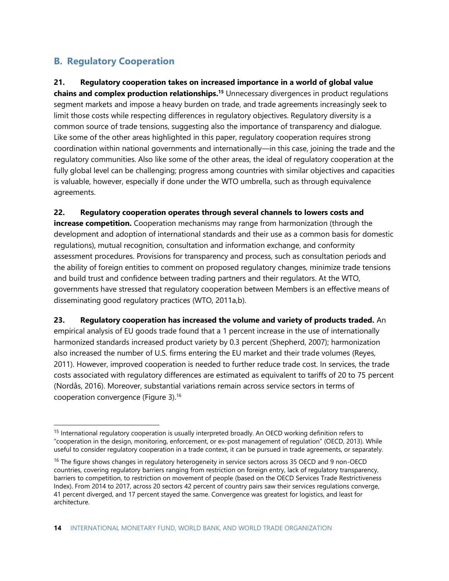# **B. Regulatory Cooperation**

## **21. Regulatory cooperation takes on increased importance in a world of global value**

**chains and complex production relationships.<sup>15</sup>** Unnecessary divergences in product regulations segment markets and impose a heavy burden on trade, and trade agreements increasingly seek to limit those costs while respecting differences in regulatory objectives. Regulatory diversity is a common source of trade tensions, suggesting also the importance of transparency and dialogue. Like some of the other areas highlighted in this paper, regulatory cooperation requires strong coordination within national governments and internationally—in this case, joining the trade and the regulatory communities. Also like some of the other areas, the ideal of regulatory cooperation at the fully global level can be challenging; progress among countries with similar objectives and capacities is valuable, however, especially if done under the WTO umbrella, such as through equivalence agreements.

#### **22. Regulatory cooperation operates through several channels to lowers costs and**

**increase competition.** Cooperation mechanisms may range from harmonization (through the development and adoption of international standards and their use as a common basis for domestic regulations), mutual recognition, consultation and information exchange, and conformity assessment procedures. Provisions for transparency and process, such as consultation periods and the ability of foreign entities to comment on proposed regulatory changes, minimize trade tensions and build trust and confidence between trading partners and their regulators. At the WTO, governments have stressed that regulatory cooperation between Members is an effective means of disseminating good regulatory practices (WTO, 2011a,b).

**23. Regulatory cooperation has increased the volume and variety of products traded.** An empirical analysis of EU goods trade found that a 1 percent increase in the use of internationally harmonized standards increased product variety by 0.3 percent (Shepherd, 2007); harmonization also increased the number of U.S. firms entering the EU market and their trade volumes (Reyes, 2011). However, improved cooperation is needed to further reduce trade cost. In services, the trade costs associated with regulatory differences are estimated as equivalent to tariffs of 20 to 75 percent (Nordås, 2016). Moreover, substantial variations remain across service sectors in terms of cooperation convergence (Figure 3).<sup>16</sup>

<sup>&</sup>lt;sup>15</sup> International regulatory cooperation is usually interpreted broadly. An OECD working definition refers to "cooperation in the design, monitoring, enforcement, or ex-post management of regulation" (OECD, 2013). While useful to consider regulatory cooperation in a trade context, it can be pursued in trade agreements, or separately.

<sup>&</sup>lt;sup>16</sup> The figure shows changes in regulatory heterogeneity in service sectors across 35 OECD and 9 non-OECD countries, covering regulatory barriers ranging from restriction on foreign entry, lack of regulatory transparency, barriers to competition, to restriction on movement of people (based on the OECD Services Trade Restrictiveness Index). From 2014 to 2017, across 20 sectors 42 percent of country pairs saw their services regulations converge, 41 percent diverged, and 17 percent stayed the same. Convergence was greatest for logistics, and least for architecture.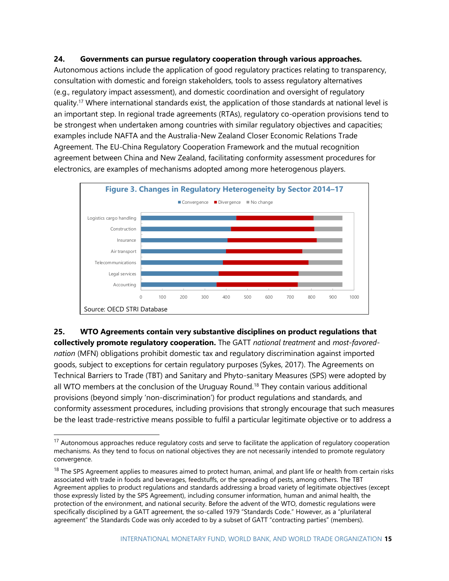#### **24. Governments can pursue regulatory cooperation through various approaches.**

Autonomous actions include the application of good regulatory practices relating to transparency, consultation with domestic and foreign stakeholders, tools to assess regulatory alternatives (e.g., regulatory impact assessment), and domestic coordination and oversight of regulatory quality.<sup>17</sup> Where international standards exist, the application of those standards at national level is an important step. In regional trade agreements (RTAs), regulatory co-operation provisions tend to be strongest when undertaken among countries with similar regulatory objectives and capacities; examples include NAFTA and the Australia-New Zealand Closer Economic Relations Trade Agreement. The EU-China Regulatory Cooperation Framework and the mutual recognition agreement between China and New Zealand, facilitating conformity assessment procedures for electronics, are examples of mechanisms adopted among more heterogenous players.



**25. WTO Agreements contain very substantive disciplines on product regulations that collectively promote regulatory cooperation.** The GATT *national treatment* and *most-favorednation* (MFN) obligations prohibit domestic tax and regulatory discrimination against imported goods, subject to exceptions for certain regulatory purposes (Sykes, 2017). The Agreements on Technical Barriers to Trade (TBT) and Sanitary and Phyto-sanitary Measures (SPS) were adopted by all WTO members at the conclusion of the Uruguay Round.<sup>18</sup> They contain various additional provisions (beyond simply 'non-discrimination') for product regulations and standards, and conformity assessment procedures, including provisions that strongly encourage that such measures be the least trade-restrictive means possible to fulfil a particular legitimate objective or to address a

 $17$  Autonomous approaches reduce regulatory costs and serve to facilitate the application of regulatory cooperation mechanisms. As they tend to focus on national objectives they are not necessarily intended to promote regulatory convergence.

 $18$  The SPS Agreement applies to measures aimed to protect human, animal, and plant life or health from certain risks associated with trade in foods and beverages, feedstuffs, or the spreading of pests, among others. The TBT Agreement applies to product regulations and standards addressing a broad variety of legitimate objectives (except those expressly listed by the SPS Agreement), including consumer information, human and animal health, the protection of the environment, and national security. Before the advent of the WTO, domestic regulations were specifically disciplined by a GATT agreement, the so-called 1979 "Standards Code." However, as a "plurilateral agreement" the Standards Code was only acceded to by a subset of GATT "contracting parties" (members).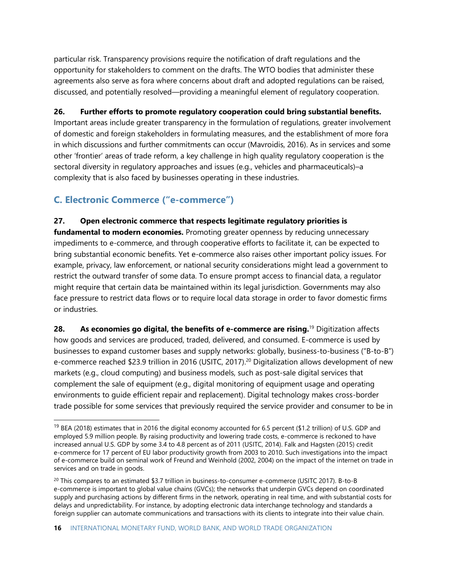particular risk. Transparency provisions require the notification of draft regulations and the opportunity for stakeholders to comment on the drafts. The WTO bodies that administer these agreements also serve as fora where concerns about draft and adopted regulations can be raised, discussed, and potentially resolved—providing a meaningful element of regulatory cooperation.

#### **26. Further efforts to promote regulatory cooperation could bring substantial benefits.**

Important areas include greater transparency in the formulation of regulations, greater involvement of domestic and foreign stakeholders in formulating measures, and the establishment of more fora in which discussions and further commitments can occur (Mavroidis, 2016). As in services and some other 'frontier' areas of trade reform, a key challenge in high quality regulatory cooperation is the sectoral diversity in regulatory approaches and issues (e.g., vehicles and pharmaceuticals)–a complexity that is also faced by businesses operating in these industries.

# **C. Electronic Commerce ("e-commerce")**

#### **27. Open electronic commerce that respects legitimate regulatory priorities is**

**fundamental to modern economies.** Promoting greater openness by reducing unnecessary impediments to e-commerce, and through cooperative efforts to facilitate it, can be expected to bring substantial economic benefits. Yet e-commerce also raises other important policy issues. For example, privacy, law enforcement, or national security considerations might lead a government to restrict the outward transfer of some data. To ensure prompt access to financial data, a regulator might require that certain data be maintained within its legal jurisdiction. Governments may also face pressure to restrict data flows or to require local data storage in order to favor domestic firms or industries.

**28. As economies go digital, the benefits of e-commerce are rising.**<sup>19</sup> Digitization affects how goods and services are produced, traded, delivered, and consumed. E-commerce is used by businesses to expand customer bases and supply networks: globally, business-to-business ("B-to-B") e-commerce reached \$23.9 trillion in 2016 (USITC, 2017).<sup>20</sup> Digitalization allows development of new markets (e.g., cloud computing) and business models, such as post-sale digital services that complement the sale of equipment (e.g., digital monitoring of equipment usage and operating environments to guide efficient repair and replacement). Digital technology makes cross-border trade possible for some services that previously required the service provider and consumer to be in

<sup>&</sup>lt;sup>19</sup> BEA (2018) estimates that in 2016 the digital economy accounted for 6.5 percent (\$1.2 trillion) of U.S. GDP and employed 5.9 million people. By raising productivity and lowering trade costs, e-commerce is reckoned to have increased annual U.S. GDP by some 3.4 to 4.8 percent as of 2011 (USITC, 2014). Falk and Hagsten (2015) credit e-commerce for 17 percent of EU labor productivity growth from 2003 to 2010. Such investigations into the impact of e-commerce build on seminal work of Freund and Weinhold (2002, 2004) on the impact of the internet on trade in services and on trade in goods.

<sup>&</sup>lt;sup>20</sup> This compares to an estimated \$3.7 trillion in business-to-consumer e-commerce (USITC 2017). B-to-B e-commerce is important to global value chains (GVCs); the networks that underpin GVCs depend on coordinated supply and purchasing actions by different firms in the network, operating in real time, and with substantial costs for delays and unpredictability. For instance, by adopting electronic data interchange technology and standards a foreign supplier can automate communications and transactions with its clients to integrate into their value chain.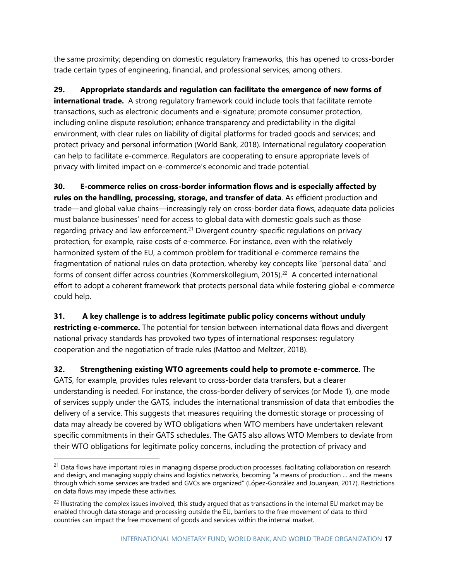the same proximity; depending on domestic regulatory frameworks, this has opened to cross-border trade certain types of engineering, financial, and professional services, among others.

**29. Appropriate standards and regulation can facilitate the emergence of new forms of international trade.** A strong regulatory framework could include tools that facilitate remote transactions, such as electronic documents and e-signature; promote consumer protection, including online dispute resolution; enhance transparency and predictability in the digital environment, with clear rules on liability of digital platforms for traded goods and services; and protect privacy and personal information (World Bank, 2018). International regulatory cooperation can help to facilitate e-commerce. Regulators are cooperating to ensure appropriate levels of privacy with limited impact on e-commerce's economic and trade potential.

**30. E-commerce relies on cross-border information flows and is especially affected by rules on the handling, processing, storage, and transfer of data**. As efficient production and trade—and global value chains—increasingly rely on cross-border data flows, adequate data policies must balance businesses' need for access to global data with domestic goals such as those regarding privacy and law enforcement. <sup>21</sup> Divergent country-specific regulations on privacy protection, for example, raise costs of e-commerce. For instance, even with the relatively harmonized system of the EU, a common problem for traditional e-commerce remains the fragmentation of national rules on data protection, whereby key concepts like "personal data" and forms of consent differ across countries (Kommerskollegium, 2015).<sup>22</sup> A concerted international effort to adopt a coherent framework that protects personal data while fostering global e-commerce could help.

**31. A key challenge is to address legitimate public policy concerns without unduly restricting e-commerce.** The potential for tension between international data flows and divergent national privacy standards has provoked two types of international responses: regulatory cooperation and the negotiation of trade rules (Mattoo and Meltzer, 2018).

**32. Strengthening existing WTO agreements could help to promote e-commerce.** The GATS, for example, provides rules relevant to cross-border data transfers, but a clearer understanding is needed. For instance, the cross-border delivery of services (or Mode 1), one mode of services supply under the GATS, includes the international transmission of data that embodies the delivery of a service. This suggests that measures requiring the domestic storage or processing of data may already be covered by WTO obligations when WTO members have undertaken relevant specific commitments in their GATS schedules. The GATS also allows WTO Members to deviate from their WTO obligations for legitimate policy concerns, including the protection of privacy and

 $21$  Data flows have important roles in managing disperse production processes, facilitating collaboration on research and design, and managing supply chains and logistics networks, becoming "a means of production … and the means through which some services are traded and GVCs are organized" (López-González and Jouanjean, 2017). Restrictions on data flows may impede these activities.

<sup>&</sup>lt;sup>22</sup> Illustrating the complex issues involved, this study argued that as transactions in the internal EU market may be enabled through data storage and processing outside the EU, barriers to the free movement of data to third countries can impact the free movement of goods and services within the internal market.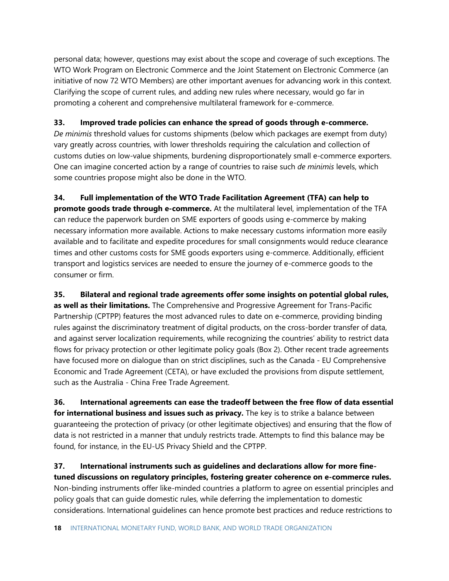personal data; however, questions may exist about the scope and coverage of such exceptions. The WTO Work Program on Electronic Commerce and the Joint Statement on Electronic Commerce (an initiative of now 72 WTO Members) are other important avenues for advancing work in this context. Clarifying the scope of current rules, and adding new rules where necessary, would go far in promoting a coherent and comprehensive multilateral framework for e-commerce.

#### **33. Improved trade policies can enhance the spread of goods through e-commerce.**

*De minimis* threshold values for customs shipments (below which packages are exempt from duty) vary greatly across countries, with lower thresholds requiring the calculation and collection of customs duties on low-value shipments, burdening disproportionately small e-commerce exporters. One can imagine concerted action by a range of countries to raise such *de minimis* levels, which some countries propose might also be done in the WTO.

**34. Full implementation of the WTO Trade Facilitation Agreement (TFA) can help to promote goods trade through e-commerce.** At the multilateral level, implementation of the TFA can reduce the paperwork burden on SME exporters of goods using e-commerce by making necessary information more available. Actions to make necessary customs information more easily available and to facilitate and expedite procedures for small consignments would reduce clearance times and other customs costs for SME goods exporters using e-commerce. Additionally, efficient transport and logistics services are needed to ensure the journey of e-commerce goods to the consumer or firm.

**35. Bilateral and regional trade agreements offer some insights on potential global rules, as well as their limitations.** The Comprehensive and Progressive Agreement for Trans-Pacific Partnership (CPTPP) features the most advanced rules to date on e-commerce, providing binding rules against the discriminatory treatment of digital products, on the cross-border transfer of data, and against server localization requirements, while recognizing the countries' ability to restrict data flows for privacy protection or other legitimate policy goals (Box 2). Other recent trade agreements have focused more on dialogue than on strict disciplines, such as the Canada - EU Comprehensive Economic and Trade Agreement (CETA), or have excluded the provisions from dispute settlement, such as the Australia - China Free Trade Agreement.

**36. International agreements can ease the tradeoff between the free flow of data essential for international business and issues such as privacy.** The key is to strike a balance between guaranteeing the protection of privacy (or other legitimate objectives) and ensuring that the flow of data is not restricted in a manner that unduly restricts trade. Attempts to find this balance may be found, for instance, in the EU-US Privacy Shield and the CPTPP.

**37. International instruments such as guidelines and declarations allow for more finetuned discussions on regulatory principles, fostering greater coherence on e-commerce rules.**  Non-binding instruments offer like-minded countries a platform to agree on essential principles and policy goals that can guide domestic rules, while deferring the implementation to domestic considerations. International guidelines can hence promote best practices and reduce restrictions to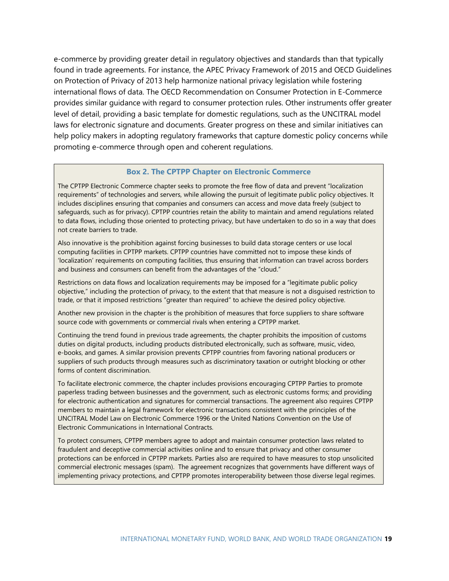e-commerce by providing greater detail in regulatory objectives and standards than that typically found in trade agreements. For instance, the APEC Privacy Framework of 2015 and OECD Guidelines on Protection of Privacy of 2013 help harmonize national privacy legislation while fostering international flows of data. The OECD Recommendation on Consumer Protection in E-Commerce provides similar guidance with regard to consumer protection rules. Other instruments offer greater level of detail, providing a basic template for domestic regulations, such as the UNCITRAL model laws for electronic signature and documents. Greater progress on these and similar initiatives can help policy makers in adopting regulatory frameworks that capture domestic policy concerns while promoting e-commerce through open and coherent regulations.

#### **Box 2. The CPTPP Chapter on Electronic Commerce**

The CPTPP Electronic Commerce chapter seeks to promote the free flow of data and prevent "localization requirements" of technologies and servers, while allowing the pursuit of legitimate public policy objectives. It includes disciplines ensuring that companies and consumers can access and move data freely (subject to safeguards, such as for privacy). CPTPP countries retain the ability to maintain and amend regulations related to data flows, including those oriented to protecting privacy, but have undertaken to do so in a way that does not create barriers to trade.

Also innovative is the prohibition against forcing businesses to build data storage centers or use local computing facilities in CPTPP markets. CPTPP countries have committed not to impose these kinds of 'localization' requirements on computing facilities, thus ensuring that information can travel across borders and business and consumers can benefit from the advantages of the "cloud."

Restrictions on data flows and localization requirements may be imposed for a "legitimate public policy objective," including the protection of privacy, to the extent that that measure is not a disguised restriction to trade, or that it imposed restrictions "greater than required" to achieve the desired policy objective.

Another new provision in the chapter is the prohibition of measures that force suppliers to share software source code with governments or commercial rivals when entering a CPTPP market.

Continuing the trend found in previous trade agreements, the chapter prohibits the imposition of customs duties on digital products, including products distributed electronically, such as software, music, video, e-books, and games. A similar provision prevents CPTPP countries from favoring national producers or suppliers of such products through measures such as discriminatory taxation or outright blocking or other forms of content discrimination.

To facilitate electronic commerce, the chapter includes provisions encouraging CPTPP Parties to promote paperless trading between businesses and the government, such as electronic customs forms; and providing for electronic authentication and signatures for commercial transactions. The agreement also requires CPTPP members to maintain a legal framework for electronic transactions consistent with the principles of the UNCITRAL Model Law on Electronic Commerce 1996 or the United Nations Convention on the Use of Electronic Communications in International Contracts.

To protect consumers, CPTPP members agree to adopt and maintain consumer protection laws related to fraudulent and deceptive commercial activities online and to ensure that privacy and other consumer protections can be enforced in CPTPP markets. Parties also are required to have measures to stop unsolicited commercial electronic messages (spam). The agreement recognizes that governments have different ways of implementing privacy protections, and CPTPP promotes interoperability between those diverse legal regimes.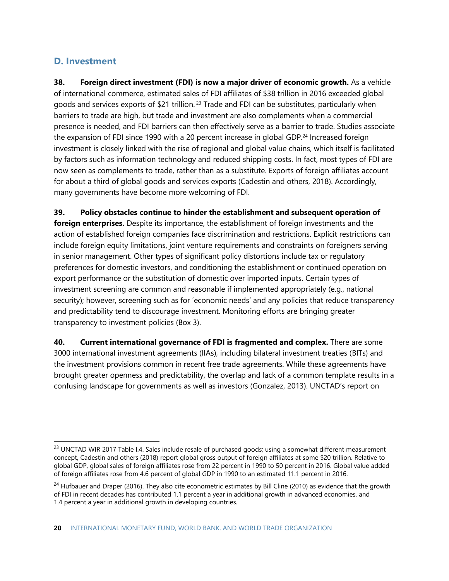# **D. Investment**

**38. Foreign direct investment (FDI) is now a major driver of economic growth.** As a vehicle of international commerce, estimated sales of FDI affiliates of \$38 trillion in 2016 exceeded global goods and services exports of \$21 trillion.<sup>23</sup> Trade and FDI can be substitutes, particularly when barriers to trade are high, but trade and investment are also complements when a commercial presence is needed, and FDI barriers can then effectively serve as a barrier to trade. Studies associate the expansion of FDI since 1990 with a 20 percent increase in global GDP.<sup>24</sup> Increased foreign investment is closely linked with the rise of regional and global value chains, which itself is facilitated by factors such as information technology and reduced shipping costs. In fact, most types of FDI are now seen as complements to trade, rather than as a substitute. Exports of foreign affiliates account for about a third of global goods and services exports (Cadestin and others, 2018). Accordingly, many governments have become more welcoming of FDI.

**39. Policy obstacles continue to hinder the establishment and subsequent operation of foreign enterprises.** Despite its importance, the establishment of foreign investments and the action of established foreign companies face discrimination and restrictions. Explicit restrictions can include foreign equity limitations, joint venture requirements and constraints on foreigners serving in senior management. Other types of significant policy distortions include tax or regulatory preferences for domestic investors, and conditioning the establishment or continued operation on export performance or the substitution of domestic over imported inputs. Certain types of investment screening are common and reasonable if implemented appropriately (e.g., national security); however, screening such as for 'economic needs' and any policies that reduce transparency and predictability tend to discourage investment. Monitoring efforts are bringing greater transparency to investment policies (Box 3).

**40. Current international governance of FDI is fragmented and complex.** There are some 3000 international investment agreements (IIAs), including bilateral investment treaties (BITs) and the investment provisions common in recent free trade agreements. While these agreements have brought greater openness and predictability, the overlap and lack of a common template results in a confusing landscape for governments as well as investors (Gonzalez, 2013). UNCTAD's report on

<sup>&</sup>lt;sup>23</sup> UNCTAD WIR 2017 Table I.4. Sales include resale of purchased goods; using a somewhat different measurement concept, Cadestin and others (2018) report global gross output of foreign affiliates at some \$20 trillion. Relative to global GDP, global sales of foreign affiliates rose from 22 percent in 1990 to 50 percent in 2016. Global value added of foreign affiliates rose from 4.6 percent of global GDP in 1990 to an estimated 11.1 percent in 2016.

 $24$  Hufbauer and Draper (2016). They also cite econometric estimates by Bill Cline (2010) as evidence that the growth of FDI in recent decades has contributed 1.1 percent a year in additional growth in advanced economies, and 1.4 percent a year in additional growth in developing countries.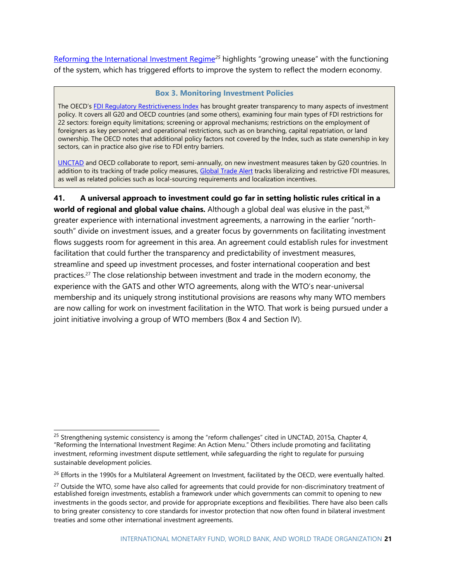[Reforming the International Investment Regime](http://unctad.org/en/pages/PublicationWebflyer.aspx?publicationid=1245)<sup>25</sup> highlights "growing unease" with the functioning of the system, which has triggered efforts to improve the system to reflect the modern economy.

#### **Box 3. Monitoring Investment Policies**

The OECD's [FDI Regulatory Restrictiveness Index](http://www.oecd.org/investment/fdiindex.htm) has brought greater transparency to many aspects of investment policy. It covers all G20 and OECD countries (and some others), examining four main types of FDI restrictions for 22 sectors: foreign equity limitations; screening or approval mechanisms; restrictions on the employment of foreigners as key personnel; and operational restrictions, such as on branching, capital repatriation, or land ownership. The OECD notes that additional policy factors not covered by the Index, such as state ownership in key sectors, can in practice also give rise to FDI entry barriers.

[UNCTAD](http://investmentpolicyhub.unctad.org/Publications/Details/181) and OECD collaborate to report, semi-annually, on new investment measures taken by G20 countries. In addition to its tracking of trade policy measures, [Global Trade Alert](https://www.globaltradealert.org/) tracks liberalizing and restrictive FDI measures, as well as related policies such as local-sourcing requirements and localization incentives.

**41. A universal approach to investment could go far in setting holistic rules critical in a world of regional and global value chains.** Although a global deal was elusive in the past,<sup>26</sup> greater experience with international investment agreements, a narrowing in the earlier "northsouth" divide on investment issues, and a greater focus by governments on facilitating investment flows suggests room for agreement in this area. An agreement could establish rules for investment facilitation that could further the transparency and predictability of investment measures, streamline and speed up investment processes, and foster international cooperation and best practices.<sup>27</sup> The close relationship between investment and trade in the modern economy, the experience with the GATS and other WTO agreements, along with the WTO's near-universal membership and its uniquely strong institutional provisions are reasons why many WTO members are now calling for work on investment facilitation in the WTO. That work is being pursued under a joint initiative involving a group of WTO members (Box 4 and Section IV).

<sup>&</sup>lt;sup>25</sup> Strengthening systemic consistency is among the "reform challenges" cited in UNCTAD, 2015a, Chapter 4, "Reforming the International Investment Regime: An Action Menu." Others include promoting and facilitating investment, reforming investment dispute settlement, while safeguarding the right to regulate for pursuing sustainable development policies.

 $26$  Efforts in the 1990s for a Multilateral Agreement on Investment, facilitated by the OECD, were eventually halted.

<sup>&</sup>lt;sup>27</sup> Outside the WTO, some have also called for agreements that could provide for non-discriminatory treatment of established foreign investments, establish a framework under which governments can commit to opening to new investments in the goods sector, and provide for appropriate exceptions and flexibilities. There have also been calls to bring greater consistency to core standards for investor protection that now often found in bilateral investment treaties and some other international investment agreements.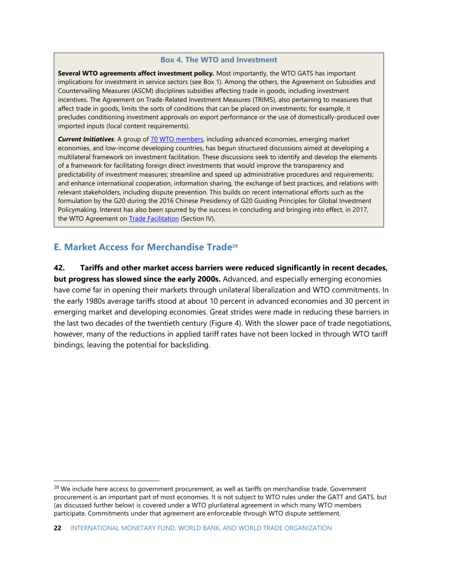#### **Box 4. The WTO and Investment**

**Several WTO agreements affect investment policy.** Most importantly, the WTO GATS has important implications for investment in service sectors (see Box 1). Among the others, the Agreement on Subsidies and Countervailing Measures (ASCM) disciplines subsidies affecting trade in goods, including investment incentives. The Agreement on Trade-Related Investment Measures (TRIMS), also pertaining to measures that affect trade in goods, limits the sorts of conditions that can be placed on investments; for example, it precludes conditioning investment approvals on export performance or the use of domestically-produced over imported inputs (local content requirements).

*Current Initiatives*. A group of [70 WTO members,](https://docs.wto.org/dol2fe/Pages/FE_Search/FE_S_S009-DP.aspx?language=E&CatalogueIdList=240870,240871,240899,240900,240833,240841,240845,240847,240848,240853&CurrentCatalogueIdIndex=0&FullTextHash=&HasEnglishRecord=True&HasFrenchRecord=True&HasSpanishRecord=True) including advanced economies, emerging market economies, and low-income developing countries, has begun structured discussions aimed at developing a multilateral framework on investment facilitation. These discussions seek to identify and develop the elements of a framework for facilitating foreign direct investments that would improve the transparency and predictability of investment measures; streamline and speed up administrative procedures and requirements; and enhance international cooperation, information sharing, the exchange of best practices, and relations with relevant stakeholders, including dispute prevention. This builds on recent international efforts such as the formulation by the G20 during the 2016 Chinese Presidency of G20 Guiding Principles for Global Investment Policymaking. Interest has also been spurred by the success in concluding and bringing into effect, in 2017, the WTO Agreement on **Trade Facilitation** (Section IV).

# **E. Market Access for Merchandise Trade<sup>28</sup>**

**42. Tariffs and other market access barriers were reduced significantly in recent decades, but progress has slowed since the early 2000s.** Advanced, and especially emerging economies have come far in opening their markets through unilateral liberalization and WTO commitments. In the early 1980s average tariffs stood at about 10 percent in advanced economies and 30 percent in emerging market and developing economies. Great strides were made in reducing these barriers in the last two decades of the twentieth century (Figure 4). With the slower pace of trade negotiations, however, many of the reductions in applied tariff rates have not been locked in through WTO tariff bindings, leaving the potential for backsliding.

<sup>&</sup>lt;sup>28</sup> We include here access to government procurement, as well as tariffs on merchandise trade. Government procurement is an important part of most economies. It is not subject to WTO rules under the GATT and GATS, but (as discussed further below) is covered under a WTO plurilateral agreement in which many WTO members participate. Commitments under that agreement are enforceable through WTO dispute settlement.

**<sup>22</sup>** INTERNATIONAL MONETARY FUND, WORLD BANK, AND WORLD TRADE ORGANIZATION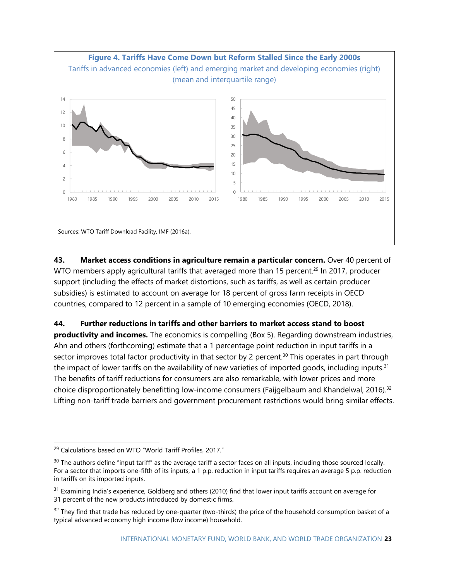

**43. Market access conditions in agriculture remain a particular concern.** Over 40 percent of WTO members apply agricultural tariffs that averaged more than 15 percent.<sup>29</sup> In 2017, producer support (including the effects of market distortions, such as tariffs, as well as certain producer subsidies) is estimated to account on average for 18 percent of gross farm receipts in OECD countries, compared to 12 percent in a sample of 10 emerging economies (OECD, 2018).

**44. Further reductions in tariffs and other barriers to market access stand to boost**

**productivity and incomes.** The economics is compelling (Box 5). Regarding downstream industries, Ahn and others (forthcoming) estimate that a 1 percentage point reduction in input tariffs in a sector improves total factor productivity in that sector by 2 percent.<sup>30</sup> This operates in part through the impact of lower tariffs on the availability of new varieties of imported goods, including inputs.<sup>31</sup> The benefits of tariff reductions for consumers are also remarkable, with lower prices and more choice disproportionately benefitting low-income consumers (Faijgelbaum and Khandelwal, 2016).<sup>32</sup> Lifting non-tariff trade barriers and government procurement restrictions would bring similar effects.

<sup>&</sup>lt;sup>29</sup> Calculations based on WTO "World Tariff Profiles, 2017."

 $30$  The authors define "input tariff" as the average tariff a sector faces on all inputs, including those sourced locally. For a sector that imports one-fifth of its inputs, a 1 p.p. reduction in input tariffs requires an average 5 p.p. reduction in tariffs on its imported inputs.

 $31$  Examining India's experience, Goldberg and others (2010) find that lower input tariffs account on average for 31 percent of the new products introduced by domestic firms.

 $32$  They find that trade has reduced by one-quarter (two-thirds) the price of the household consumption basket of a typical advanced economy high income (low income) household.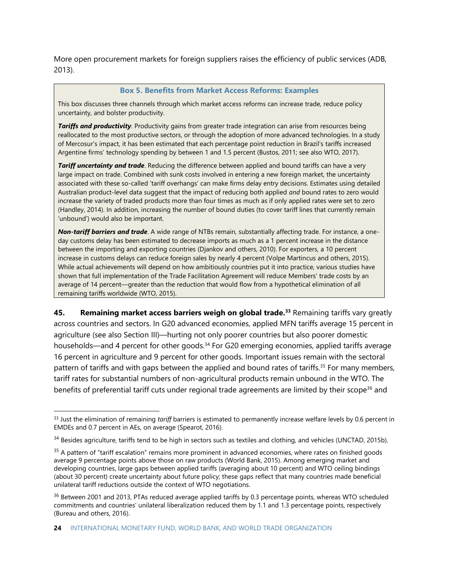More open procurement markets for foreign suppliers raises the efficiency of public services (ADB, 2013).

#### **Box 5. Benefits from Market Access Reforms: Examples**

This box discusses three channels through which market access reforms can increase trade, reduce policy uncertainty, and bolster productivity.

*Tariffs and productivity*. Productivity gains from greater trade integration can arise from resources being reallocated to the most productive sectors, or through the adoption of more advanced technologies. In a study of Mercosur's impact, it has been estimated that each percentage point reduction in Brazil's tariffs increased Argentine firms' technology spending by between 1 and 1.5 percent (Bustos, 2011; see also WTO, 2017).

*Tariff uncertainty and trade*. Reducing the difference between applied and bound tariffs can have a very large impact on trade. Combined with sunk costs involved in entering a new foreign market, the uncertainty associated with these so-called 'tariff overhangs' can make firms delay entry decisions. Estimates using detailed Australian product-level data suggest that the impact of reducing both applied *and* bound rates to zero would increase the variety of traded products more than four times as much as if only applied rates were set to zero (Handley, 2014). In addition, increasing the number of bound duties (to cover tariff lines that currently remain 'unbound') would also be important.

*Non-tariff barriers and trade*. A wide range of NTBs remain, substantially affecting trade. For instance, a oneday customs delay has been estimated to decrease imports as much as a 1 percent increase in the distance between the importing and exporting countries (Djankov and others, 2010). For exporters, a 10 percent increase in customs delays can reduce foreign sales by nearly 4 percent (Volpe Martincus and others, 2015). While actual achievements will depend on how ambitiously countries put it into practice, various studies have shown that full implementation of the Trade Facilitation Agreement will reduce Members' trade costs by an average of 14 percent—greater than the reduction that would flow from a hypothetical elimination of all remaining tariffs worldwide (WTO, 2015).

**45. Remaining market access barriers weigh on global trade.<sup>33</sup>** Remaining tariffs vary greatly across countries and sectors. In G20 advanced economies, applied MFN tariffs average 15 percent in agriculture (see also Section III)—hurting not only poorer countries but also poorer domestic households—and 4 percent for other goods.<sup>34</sup> For G20 emerging economies, applied tariffs average 16 percent in agriculture and 9 percent for other goods. Important issues remain with the sectoral pattern of tariffs and with gaps between the applied and bound rates of tariffs.<sup>35</sup> For many members, tariff rates for substantial numbers of non-agricultural products remain unbound in the WTO. The benefits of preferential tariff cuts under regional trade agreements are limited by their scope<sup>36</sup> and

<sup>33</sup> Just the elimination of remaining *tariff* barriers is estimated to permanently increase welfare levels by 0.6 percent in EMDEs and 0.7 percent in AEs, on average (Spearot, 2016).

<sup>&</sup>lt;sup>34</sup> Besides agriculture, tariffs tend to be high in sectors such as textiles and clothing, and vehicles (UNCTAD, 2015b).

<sup>&</sup>lt;sup>35</sup> A pattern of "tariff escalation" remains more prominent in advanced economies, where rates on finished goods average 9 percentage points above those on raw products (World Bank, 2015). Among emerging market and developing countries, large gaps between applied tariffs (averaging about 10 percent) and WTO ceiling bindings (about 30 percent) create uncertainty about future policy; these gaps reflect that many countries made beneficial unilateral tariff reductions outside the context of WTO negotiations.

<sup>&</sup>lt;sup>36</sup> Between 2001 and 2013, PTAs reduced average applied tariffs by 0.3 percentage points, whereas WTO scheduled commitments and countries' unilateral liberalization reduced them by 1.1 and 1.3 percentage points, respectively (Bureau and others, 2016).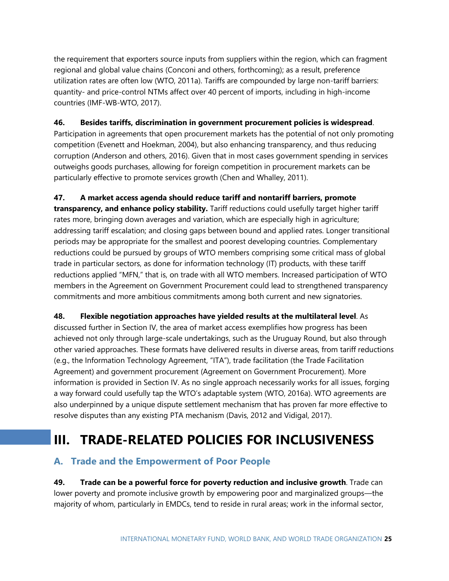the requirement that exporters source inputs from suppliers within the region, which can fragment regional and global value chains (Conconi and others, forthcoming); as a result, preference utilization rates are often low (WTO, 2011a). Tariffs are compounded by large non-tariff barriers: quantity- and price-control NTMs affect over 40 percent of imports, including in high-income countries (IMF-WB-WTO, 2017).

## **46. Besides tariffs, discrimination in government procurement policies is widespread**.

Participation in agreements that open procurement markets has the potential of not only promoting competition (Evenett and Hoekman, 2004), but also enhancing transparency, and thus reducing corruption (Anderson and others, 2016). Given that in most cases government spending in services outweighs goods purchases, allowing for foreign competition in procurement markets can be particularly effective to promote services growth (Chen and Whalley, 2011).

## **47. A market access agenda should reduce tariff and nontariff barriers, promote**

**transparency, and enhance policy stability.** Tariff reductions could usefully target higher tariff rates more, bringing down averages and variation, which are especially high in agriculture; addressing tariff escalation; and closing gaps between bound and applied rates. Longer transitional periods may be appropriate for the smallest and poorest developing countries. Complementary reductions could be pursued by groups of WTO members comprising some critical mass of global trade in particular sectors, as done for information technology (IT) products, with these tariff reductions applied "MFN," that is, on trade with all WTO members. Increased participation of WTO members in the Agreement on Government Procurement could lead to strengthened transparency commitments and more ambitious commitments among both current and new signatories.

## **48. Flexible negotiation approaches have yielded results at the multilateral level**. As

discussed further in Section IV, the area of market access exemplifies how progress has been achieved not only through large-scale undertakings, such as the Uruguay Round, but also through other varied approaches. These formats have delivered results in diverse areas, from tariff reductions (e.g., the Information Technology Agreement, "ITA"), trade facilitation (the Trade Facilitation Agreement) and government procurement (Agreement on Government Procurement). More information is provided in Section IV. As no single approach necessarily works for all issues, forging a way forward could usefully tap the WTO's adaptable system (WTO, 2016a). WTO agreements are also underpinned by a unique dispute settlement mechanism that has proven far more effective to resolve disputes than any existing PTA mechanism (Davis, 2012 and Vidigal, 2017).

# **III. TRADE-RELATED POLICIES FOR INCLUSIVENESS**

# **A. Trade and the Empowerment of Poor People**

**49. Trade can be a powerful force for poverty reduction and inclusive growth**. Trade can lower poverty and promote inclusive growth by empowering poor and marginalized groups—the majority of whom, particularly in EMDCs, tend to reside in rural areas; work in the informal sector,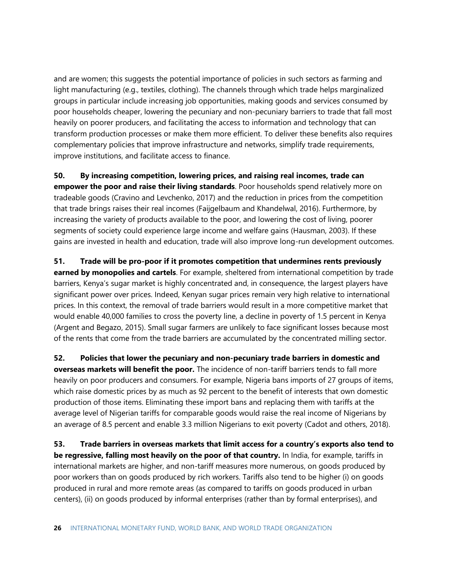and are women; this suggests the potential importance of policies in such sectors as farming and light manufacturing (e.g., textiles, clothing). The channels through which trade helps marginalized groups in particular include increasing job opportunities, making goods and services consumed by poor households cheaper, lowering the pecuniary and non-pecuniary barriers to trade that fall most heavily on poorer producers, and facilitating the access to information and technology that can transform production processes or make them more efficient. To deliver these benefits also requires complementary policies that improve infrastructure and networks, simplify trade requirements, improve institutions, and facilitate access to finance.

**50. By increasing competition, lowering prices, and raising real incomes, trade can empower the poor and raise their living standards**. Poor households spend relatively more on tradeable goods (Cravino and Levchenko, 2017) and the reduction in prices from the competition that trade brings raises their real incomes (Faijgelbaum and Khandelwal, 2016). Furthermore, by increasing the variety of products available to the poor, and lowering the cost of living, poorer segments of society could experience large income and welfare gains (Hausman, 2003). If these gains are invested in health and education, trade will also improve long-run development outcomes.

**51. Trade will be pro-poor if it promotes competition that undermines rents previously earned by monopolies and cartels**. For example, sheltered from international competition by trade barriers, Kenya's sugar market is highly concentrated and, in consequence, the largest players have significant power over prices. Indeed, Kenyan sugar prices remain very high relative to international prices. In this context, the removal of trade barriers would result in a more competitive market that would enable 40,000 families to cross the poverty line, a decline in poverty of 1.5 percent in Kenya (Argent and Begazo, 2015). Small sugar farmers are unlikely to face significant losses because most of the rents that come from the trade barriers are accumulated by the concentrated milling sector.

**52. Policies that lower the pecuniary and non-pecuniary trade barriers in domestic and overseas markets will benefit the poor.** The incidence of non-tariff barriers tends to fall more heavily on poor producers and consumers. For example, Nigeria bans imports of 27 groups of items, which raise domestic prices by as much as 92 percent to the benefit of interests that own domestic production of those items. Eliminating these import bans and replacing them with tariffs at the average level of Nigerian tariffs for comparable goods would raise the real income of Nigerians by an average of 8.5 percent and enable 3.3 million Nigerians to exit poverty (Cadot and others, 2018).

**53. Trade barriers in overseas markets that limit access for a country's exports also tend to be regressive, falling most heavily on the poor of that country.** In India, for example, tariffs in international markets are higher, and non-tariff measures more numerous, on goods produced by poor workers than on goods produced by rich workers. Tariffs also tend to be higher (i) on goods produced in rural and more remote areas (as compared to tariffs on goods produced in urban centers), (ii) on goods produced by informal enterprises (rather than by formal enterprises), and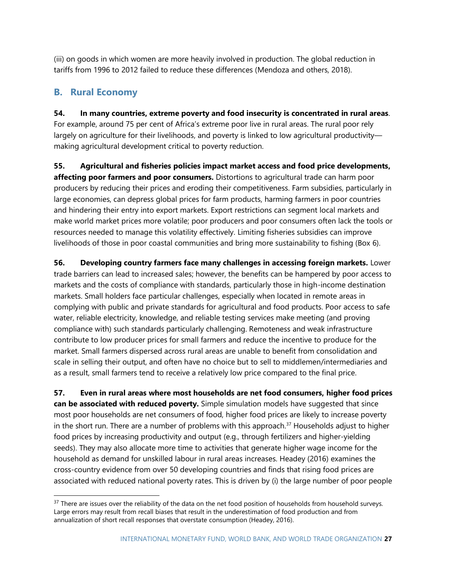(iii) on goods in which women are more heavily involved in production. The global reduction in tariffs from 1996 to 2012 failed to reduce these differences (Mendoza and others, 2018).

# **B. Rural Economy**

**54. In many countries, extreme poverty and food insecurity is concentrated in rural areas**. For example, around 75 per cent of Africa's extreme poor live in rural areas. The rural poor rely largely on agriculture for their livelihoods, and poverty is linked to low agricultural productivity making agricultural development critical to poverty reduction.

**55. Agricultural and fisheries policies impact market access and food price developments, affecting poor farmers and poor consumers.** Distortions to agricultural trade can harm poor producers by reducing their prices and eroding their competitiveness. Farm subsidies, particularly in large economies, can depress global prices for farm products, harming farmers in poor countries and hindering their entry into export markets. Export restrictions can segment local markets and make world market prices more volatile; poor producers and poor consumers often lack the tools or resources needed to manage this volatility effectively. Limiting fisheries subsidies can improve livelihoods of those in poor coastal communities and bring more sustainability to fishing (Box 6).

**56. Developing country farmers face many challenges in accessing foreign markets.** Lower trade barriers can lead to increased sales; however, the benefits can be hampered by poor access to markets and the costs of compliance with standards, particularly those in high-income destination markets. Small holders face particular challenges, especially when located in remote areas in complying with public and private standards for agricultural and food products. Poor access to safe water, reliable electricity, knowledge, and reliable testing services make meeting (and proving compliance with) such standards particularly challenging. Remoteness and weak infrastructure contribute to low producer prices for small farmers and reduce the incentive to produce for the market. Small farmers dispersed across rural areas are unable to benefit from consolidation and scale in selling their output, and often have no choice but to sell to middlemen/intermediaries and as a result, small farmers tend to receive a relatively low price compared to the final price.

**57. Even in rural areas where most households are net food consumers, higher food prices can be associated with reduced poverty.** Simple simulation models have suggested that since most poor households are net consumers of food, higher food prices are likely to increase poverty in the short run. There are a number of problems with this approach.<sup>37</sup> Households adjust to higher food prices by increasing productivity and output (e.g., through fertilizers and higher-yielding seeds). They may also allocate more time to activities that generate higher wage income for the household as demand for unskilled labour in rural areas increases. Headey (2016) examines the cross-country evidence from over 50 developing countries and finds that rising food prices are associated with reduced national poverty rates. This is driven by (i) the large number of poor people

<sup>&</sup>lt;sup>37</sup> There are issues over the reliability of the data on the net food position of households from household surveys. Large errors may result from recall biases that result in the underestimation of food production and from annualization of short recall responses that overstate consumption (Headey, 2016).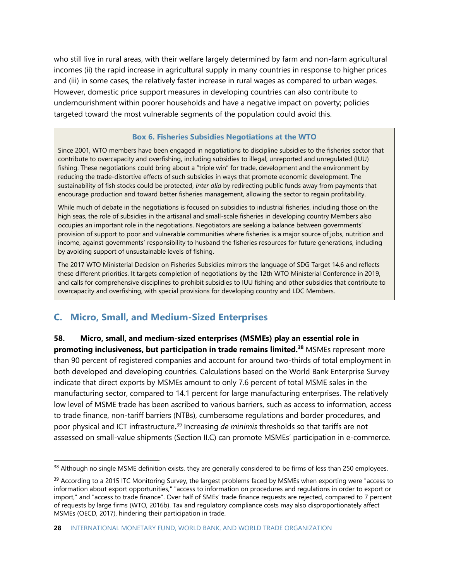who still live in rural areas, with their welfare largely determined by farm and non-farm agricultural incomes (ii) the rapid increase in agricultural supply in many countries in response to higher prices and (iii) in some cases, the relatively faster increase in rural wages as compared to urban wages. However, domestic price support measures in developing countries can also contribute to undernourishment within poorer households and have a negative impact on poverty; policies targeted toward the most vulnerable segments of the population could avoid this.

#### **Box 6. Fisheries Subsidies Negotiations at the WTO**

Since 2001, WTO members have been engaged in negotiations to discipline subsidies to the fisheries sector that contribute to overcapacity and overfishing, including subsidies to illegal, unreported and unregulated (IUU) fishing. These negotiations could bring about a "triple win" for trade, development and the environment by reducing the trade-distortive effects of such subsidies in ways that promote economic development. The sustainability of fish stocks could be protected, *inter alia* by redirecting public funds away from payments that encourage production and toward better fisheries management, allowing the sector to regain profitability.

While much of debate in the negotiations is focused on subsidies to industrial fisheries, including those on the high seas, the role of subsidies in the artisanal and small-scale fisheries in developing country Members also occupies an important role in the negotiations. Negotiators are seeking a balance between governments' provision of support to poor and vulnerable communities where fisheries is a major source of jobs, nutrition and income, against governments' responsibility to husband the fisheries resources for future generations, including by avoiding support of unsustainable levels of fishing.

The 2017 WTO Ministerial Decision on Fisheries Subsidies mirrors the language of SDG Target 14.6 and reflects these different priorities. It targets completion of negotiations by the 12th WTO Ministerial Conference in 2019, and calls for comprehensive disciplines to prohibit subsidies to IUU fishing and other subsidies that contribute to overcapacity and overfishing, with special provisions for developing country and LDC Members.

# **C. Micro, Small, and Medium-Sized Enterprises**

#### **58. Micro, small, and medium-sized enterprises (MSMEs) play an essential role in**

**promoting inclusiveness, but participation in trade remains limited.<sup>38</sup>** MSMEs represent more than 90 percent of registered companies and account for around two-thirds of total employment in both developed and developing countries. Calculations based on the World Bank Enterprise Survey indicate that direct exports by MSMEs amount to only 7.6 percent of total MSME sales in the manufacturing sector, compared to 14.1 percent for large manufacturing enterprises. The relatively low level of MSME trade has been ascribed to various barriers, such as access to information, access to trade finance, non-tariff barriers (NTBs), cumbersome regulations and border procedures, and poor physical and ICT infrastructure**.** <sup>39</sup> Increasing *de minimis* thresholds so that tariffs are not assessed on small-value shipments (Section II.C) can promote MSMEs' participation in e-commerce.

<sup>&</sup>lt;sup>38</sup> Although no single MSME definition exists, they are generally considered to be firms of less than 250 employees.

<sup>&</sup>lt;sup>39</sup> According to a 2015 ITC Monitoring Survey, the largest problems faced by MSMEs when exporting were "access to information about export opportunities," "access to information on procedures and regulations in order to export or import," and "access to trade finance". Over half of SMEs' trade finance requests are rejected, compared to 7 percent of requests by large firms (WTO, 2016b). Tax and regulatory compliance costs may also disproportionately affect MSMEs (OECD, 2017), hindering their participation in trade.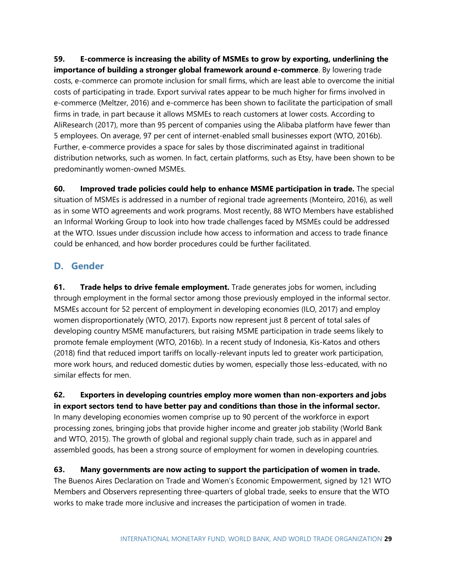**59. E-commerce is increasing the ability of MSMEs to grow by exporting, underlining the importance of building a stronger global framework around e-commerce**. By lowering trade costs, e-commerce can promote inclusion for small firms, which are least able to overcome the initial costs of participating in trade. Export survival rates appear to be much higher for firms involved in e-commerce (Meltzer, 2016) and e-commerce has been shown to facilitate the participation of small firms in trade, in part because it allows MSMEs to reach customers at lower costs. According to AliResearch (2017), more than 95 percent of companies using the Alibaba platform have fewer than 5 employees. On average, 97 per cent of internet-enabled small businesses export (WTO, 2016b). Further, e-commerce provides a space for sales by those discriminated against in traditional distribution networks, such as women. In fact, certain platforms, such as Etsy, have been shown to be predominantly women-owned MSMEs.

**60. Improved trade policies could help to enhance MSME participation in trade.** The special situation of MSMEs is addressed in a number of regional trade agreements (Monteiro, 2016), as well as in some WTO agreements and work programs. Most recently, 88 WTO Members have established an Informal Working Group to look into how trade challenges faced by MSMEs could be addressed at the WTO. Issues under discussion include how access to information and access to trade finance could be enhanced, and how border procedures could be further facilitated.

# **D. Gender**

**61. Trade helps to drive female employment.** Trade generates jobs for women, including through employment in the formal sector among those previously employed in the informal sector. MSMEs account for 52 percent of employment in developing economies (ILO, 2017) and employ women disproportionately (WTO, 2017). Exports now represent just 8 percent of total sales of developing country MSME manufacturers, but raising MSME participation in trade seems likely to promote female employment (WTO, 2016b). In a recent study of Indonesia, Kis-Katos and others (2018) find that reduced import tariffs on locally-relevant inputs led to greater work participation, more work hours, and reduced domestic duties by women, especially those less-educated, with no similar effects for men.

**62. Exporters in developing countries employ more women than non-exporters and jobs in export sectors tend to have better pay and conditions than those in the informal sector.** In many developing economies women comprise up to 90 percent of the workforce in export processing zones, bringing jobs that provide higher income and greater job stability (World Bank and WTO, 2015). The growth of global and regional supply chain trade, such as in apparel and assembled goods, has been a strong source of employment for women in developing countries.

**63. Many governments are now acting to support the participation of women in trade.** The Buenos Aires Declaration on Trade and Women's Economic Empowerment, signed by 121 WTO Members and Observers representing three-quarters of global trade, seeks to ensure that the WTO works to make trade more inclusive and increases the participation of women in trade.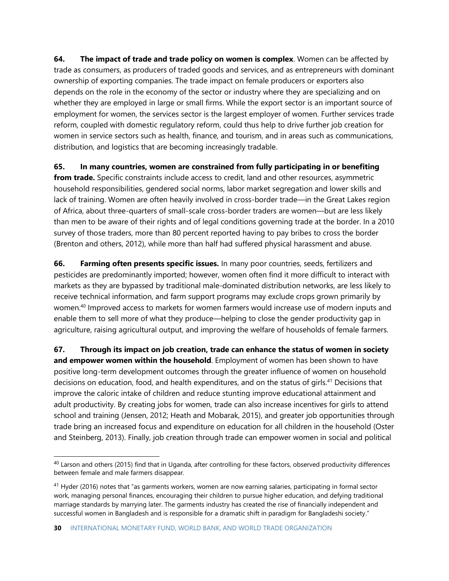**64. The impact of trade and trade policy on women is complex**. Women can be affected by trade as consumers, as producers of traded goods and services, and as entrepreneurs with dominant ownership of exporting companies. The trade impact on female producers or exporters also depends on the role in the economy of the sector or industry where they are specializing and on whether they are employed in large or small firms. While the export sector is an important source of employment for women, the services sector is the largest employer of women. Further services trade reform, coupled with domestic regulatory reform, could thus help to drive further job creation for women in service sectors such as health, finance, and tourism, and in areas such as communications, distribution, and logistics that are becoming increasingly tradable.

**65. In many countries, women are constrained from fully participating in or benefiting**

**from trade.** Specific constraints include access to credit, land and other resources, asymmetric household responsibilities, gendered social norms, labor market segregation and lower skills and lack of training. Women are often heavily involved in cross-border trade—in the Great Lakes region of Africa, about three-quarters of small-scale cross-border traders are women—but are less likely than men to be aware of their rights and of legal conditions governing trade at the border. In a 2010 survey of those traders, more than 80 percent reported having to pay bribes to cross the border (Brenton and others, 2012), while more than half had suffered physical harassment and abuse.

**66. Farming often presents specific issues.** In many poor countries, seeds, fertilizers and pesticides are predominantly imported; however, women often find it more difficult to interact with markets as they are bypassed by traditional male-dominated distribution networks, are less likely to receive technical information, and farm support programs may exclude crops grown primarily by women.<sup>40</sup> Improved access to markets for women farmers would increase use of modern inputs and enable them to sell more of what they produce—helping to close the gender productivity gap in agriculture, raising agricultural output, and improving the welfare of households of female farmers.

**67. Through its impact on job creation, trade can enhance the status of women in society and empower women within the household**. Employment of women has been shown to have positive long-term development outcomes through the greater influence of women on household decisions on education, food, and health expenditures, and on the status of girls.<sup>41</sup> Decisions that improve the caloric intake of children and reduce stunting improve educational attainment and adult productivity. By creating jobs for women, trade can also increase incentives for girls to attend school and training (Jensen, 2012; Heath and Mobarak, 2015), and greater job opportunities through trade bring an increased focus and expenditure on education for all children in the household (Oster and Steinberg, 2013). Finally, job creation through trade can empower women in social and political

<sup>&</sup>lt;sup>40</sup> Larson and others (2015) find that in Uganda, after controlling for these factors, observed productivity differences between female and male farmers disappear.

 $41$  Hyder (2016) notes that "as garments workers, women are now earning salaries, participating in formal sector work, managing personal finances, encouraging their children to pursue higher education, and defying traditional marriage standards by marrying later. The garments industry has created the rise of financially independent and successful women in Bangladesh and is responsible for a dramatic shift in paradigm for Bangladeshi society."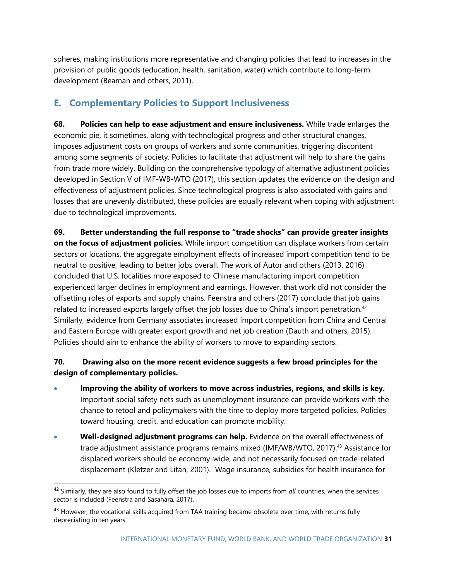spheres, making institutions more representative and changing policies that lead to increases in the provision of public goods (education, health, sanitation, water) which contribute to long-term development (Beaman and others, 2011).

# **E. Complementary Policies to Support Inclusiveness**

**68. Policies can help to ease adjustment and ensure inclusiveness.** While trade enlarges the economic pie, it sometimes, along with technological progress and other structural changes, imposes adjustment costs on groups of workers and some communities, triggering discontent among some segments of society. Policies to facilitate that adjustment will help to share the gains from trade more widely. Building on the comprehensive typology of alternative adjustment policies developed in Section V of IMF-WB-WTO (2017), this section updates the evidence on the design and effectiveness of adjustment policies. Since technological progress is also associated with gains and losses that are unevenly distributed, these policies are equally relevant when coping with adjustment due to technological improvements.

**69. Better understanding the full response to "trade shocks" can provide greater insights on the focus of adjustment policies.** While import competition can displace workers from certain sectors or locations, the aggregate employment effects of increased import competition tend to be neutral to positive, leading to better jobs overall. The work of Autor and others (2013, 2016) concluded that U.S. localities more exposed to Chinese manufacturing import competition experienced larger declines in employment and earnings. However, that work did not consider the offsetting roles of exports and supply chains. Feenstra and others (2017) conclude that job gains related to increased exports largely offset the job losses due to China's import penetration.<sup>42</sup> Similarly, evidence from Germany associates increased import competition from China and Central and Eastern Europe with greater export growth and net job creation (Dauth and others, 2015). Policies should aim to enhance the ability of workers to move to expanding sectors.

## **70. Drawing also on the more recent evidence suggests a few broad principles for the design of complementary policies.**

- **Improving the ability of workers to move across industries, regions, and skills is key.** Important social safety nets such as unemployment insurance can provide workers with the chance to retool and policymakers with the time to deploy more targeted policies. Policies toward housing, credit, and education can promote mobility.
- **Well-designed adjustment programs can help.** Evidence on the overall effectiveness of trade adjustment assistance programs remains mixed (IMF/WB/WTO, 2017). <sup>43</sup> Assistance for displaced workers should be economy-wide, and not necessarily focused on trade-related displacement (Kletzer and Litan, 2001). Wage insurance, subsidies for health insurance for

<sup>42</sup> Similarly, they are also found to fully offset the job losses due to imports from *all* countries, when the services sector is included (Feenstra and Sasahara, 2017).

<sup>&</sup>lt;sup>43</sup> However, the vocational skills acquired from TAA training became obsolete over time, with returns fully depreciating in ten years.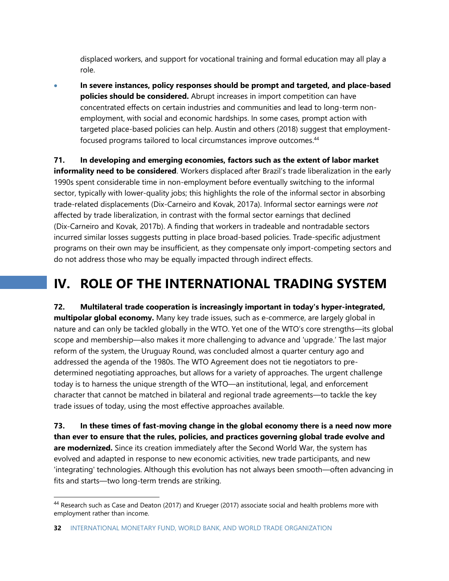displaced workers, and support for vocational training and formal education may all play a role.

• **In severe instances, policy responses should be prompt and targeted, and place-based policies should be considered.** Abrupt increases in import competition can have concentrated effects on certain industries and communities and lead to long-term nonemployment, with social and economic hardships. In some cases, prompt action with targeted place-based policies can help. Austin and others (2018) suggest that employmentfocused programs tailored to local circumstances improve outcomes. 44

**71. In developing and emerging economies, factors such as the extent of labor market informality need to be considered**. Workers displaced after Brazil's trade liberalization in the early 1990s spent considerable time in non-employment before eventually switching to the informal sector, typically with lower-quality jobs; this highlights the role of the informal sector in absorbing trade-related displacements (Dix-Carneiro and Kovak, 2017a). Informal sector earnings were *not* affected by trade liberalization, in contrast with the formal sector earnings that declined (Dix-Carneiro and Kovak, 2017b). A finding that workers in tradeable and nontradable sectors incurred similar losses suggests putting in place broad-based policies. Trade-specific adjustment programs on their own may be insufficient, as they compensate only import-competing sectors and do not address those who may be equally impacted through indirect effects.

# **IV. ROLE OF THE INTERNATIONAL TRADING SYSTEM**

**72. Multilateral trade cooperation is increasingly important in today's hyper-integrated, multipolar global economy.** Many key trade issues, such as e-commerce, are largely global in nature and can only be tackled globally in the WTO. Yet one of the WTO's core strengths—its global scope and membership—also makes it more challenging to advance and 'upgrade.' The last major reform of the system, the Uruguay Round, was concluded almost a quarter century ago and addressed the agenda of the 1980s. The WTO Agreement does not tie negotiators to predetermined negotiating approaches, but allows for a variety of approaches. The urgent challenge today is to harness the unique strength of the WTO—an institutional, legal, and enforcement character that cannot be matched in bilateral and regional trade agreements—to tackle the key trade issues of today, using the most effective approaches available.

**73. In these times of fast-moving change in the global economy there is a need now more than ever to ensure that the rules, policies, and practices governing global trade evolve and are modernized.** Since its creation immediately after the Second World War, the system has evolved and adapted in response to new economic activities, new trade participants, and new 'integrating' technologies. Although this evolution has not always been smooth—often advancing in fits and starts—two long-term trends are striking.

<sup>44</sup> Research such as Case and Deaton (2017) and Krueger (2017) associate social and health problems more with employment rather than income.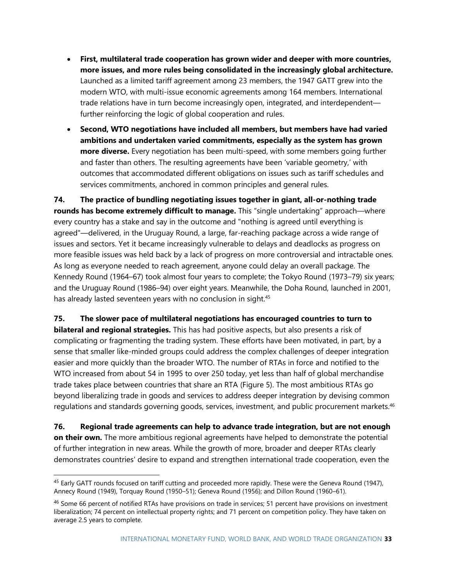- **First, multilateral trade cooperation has grown wider and deeper with more countries, more issues, and more rules being consolidated in the increasingly global architecture.** Launched as a limited tariff agreement among 23 members, the 1947 GATT grew into the modern WTO, with multi-issue economic agreements among 164 members. International trade relations have in turn become increasingly open, integrated, and interdependent further reinforcing the logic of global cooperation and rules.
- **Second, WTO negotiations have included all members, but members have had varied ambitions and undertaken varied commitments, especially as the system has grown more diverse.** Every negotiation has been multi-speed, with some members going further and faster than others. The resulting agreements have been 'variable geometry,' with outcomes that accommodated different obligations on issues such as tariff schedules and services commitments, anchored in common principles and general rules.

**74. The practice of bundling negotiating issues together in giant, all-or-nothing trade rounds has become extremely difficult to manage.** This "single undertaking" approach—where every country has a stake and say in the outcome and "nothing is agreed until everything is agreed"—delivered, in the Uruguay Round, a large, far-reaching package across a wide range of issues and sectors. Yet it became increasingly vulnerable to delays and deadlocks as progress on more feasible issues was held back by a lack of progress on more controversial and intractable ones. As long as everyone needed to reach agreement, anyone could delay an overall package. The Kennedy Round (1964–67) took almost four years to complete; the Tokyo Round (1973–79) six years; and the Uruguay Round (1986–94) over eight years. Meanwhile, the Doha Round, launched in 2001, has already lasted seventeen years with no conclusion in sight.<sup>45</sup>

**75. The slower pace of multilateral negotiations has encouraged countries to turn to bilateral and regional strategies.** This has had positive aspects, but also presents a risk of complicating or fragmenting the trading system. These efforts have been motivated, in part, by a sense that smaller like-minded groups could address the complex challenges of deeper integration easier and more quickly than the broader WTO. The number of RTAs in force and notified to the WTO increased from about 54 in 1995 to over 250 today, yet less than half of global merchandise trade takes place between countries that share an RTA (Figure 5). The most ambitious RTAs go beyond liberalizing trade in goods and services to address deeper integration by devising common regulations and standards governing goods, services, investment, and public procurement markets. 46

**76. Regional trade agreements can help to advance trade integration, but are not enough on their own.** The more ambitious regional agreements have helped to demonstrate the potential of further integration in new areas. While the growth of more, broader and deeper RTAs clearly demonstrates countries' desire to expand and strengthen international trade cooperation, even the

<sup>&</sup>lt;sup>45</sup> Early GATT rounds focused on tariff cutting and proceeded more rapidly. These were the Geneva Round (1947), Annecy Round (1949), Torquay Round (1950–51); Geneva Round (1956); and Dillon Round (1960–61).

<sup>&</sup>lt;sup>46</sup> Some 66 percent of notified RTAs have provisions on trade in services; 51 percent have provisions on investment liberalization; 74 percent on intellectual property rights; and 71 percent on competition policy. They have taken on average 2.5 years to complete.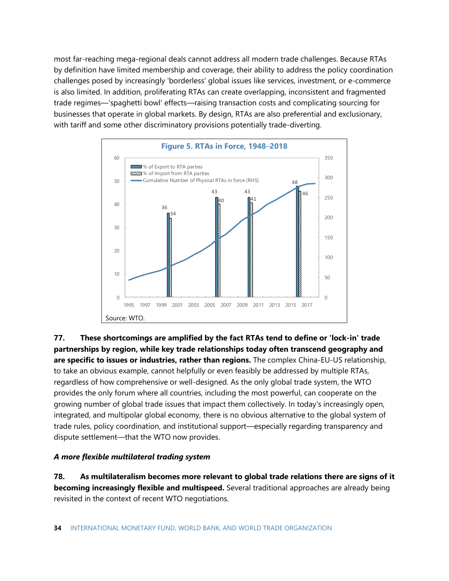most far-reaching mega-regional deals cannot address all modern trade challenges. Because RTAs by definition have limited membership and coverage, their ability to address the policy coordination challenges posed by increasingly 'borderless' global issues like services, investment, or e-commerce is also limited. In addition, proliferating RTAs can create overlapping, inconsistent and fragmented trade regimes—'spaghetti bowl' effects—raising transaction costs and complicating sourcing for businesses that operate in global markets. By design, RTAs are also preferential and exclusionary, with tariff and some other discriminatory provisions potentially trade-diverting.



**77. These shortcomings are amplified by the fact RTAs tend to define or 'lock-in' trade partnerships by region, while key trade relationships today often transcend geography and are specific to issues or industries, rather than regions.** The complex China-EU-US relationship, to take an obvious example, cannot helpfully or even feasibly be addressed by multiple RTAs, regardless of how comprehensive or well-designed. As the only global trade system, the WTO provides the only forum where all countries, including the most powerful, can cooperate on the growing number of global trade issues that impact them collectively. In today's increasingly open, integrated, and multipolar global economy, there is no obvious alternative to the global system of trade rules, policy coordination, and institutional support—especially regarding transparency and dispute settlement—that the WTO now provides.

#### *A more flexible multilateral trading system*

**78. As multilateralism becomes more relevant to global trade relations there are signs of it becoming increasingly flexible and multispeed.** Several traditional approaches are already being revisited in the context of recent WTO negotiations.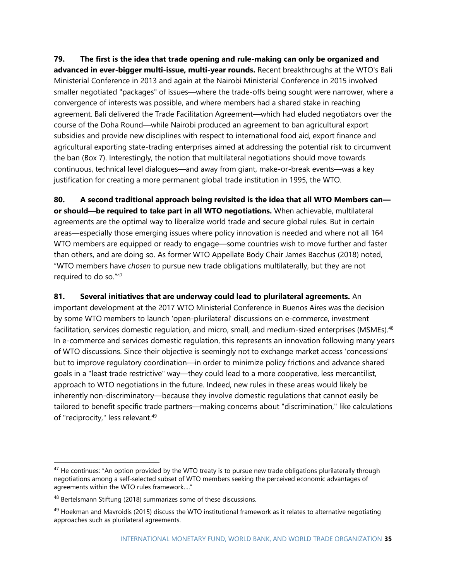**79. The first is the idea that trade opening and rule-making can only be organized and advanced in ever-bigger multi-issue, multi-year rounds.** Recent breakthroughs at the WTO's Bali Ministerial Conference in 2013 and again at the Nairobi Ministerial Conference in 2015 involved smaller negotiated "packages" of issues—where the trade-offs being sought were narrower, where a convergence of interests was possible, and where members had a shared stake in reaching agreement. Bali delivered the Trade Facilitation Agreement—which had eluded negotiators over the course of the Doha Round—while Nairobi produced an agreement to ban agricultural export subsidies and provide new disciplines with respect to international food aid, export finance and agricultural exporting state-trading enterprises aimed at addressing the potential risk to circumvent the ban (Box 7). Interestingly, the notion that multilateral negotiations should move towards continuous, technical level dialogues—and away from giant, make-or-break events—was a key justification for creating a more permanent global trade institution in 1995, the WTO.

**80. A second traditional approach being revisited is the idea that all WTO Members can or should—be required to take part in all WTO negotiations.** When achievable, multilateral agreements are the optimal way to liberalize world trade and secure global rules. But in certain areas—especially those emerging issues where policy innovation is needed and where not all 164 WTO members are equipped or ready to engage—some countries wish to move further and faster than others, and are doing so. As former WTO Appellate Body Chair James Bacchus (2018) noted, "WTO members have *chosen* to pursue new trade obligations multilaterally, but they are not required to do so."<sup>47</sup>

#### **81. Several initiatives that are underway could lead to plurilateral agreements.** An

important development at the 2017 WTO Ministerial Conference in Buenos Aires was the decision by some WTO members to launch 'open-plurilateral' discussions on e-commerce, investment facilitation, services domestic regulation, and micro, small, and medium-sized enterprises (MSMEs).<sup>48</sup> In e-commerce and services domestic regulation, this represents an innovation following many years of WTO discussions. Since their objective is seemingly not to exchange market access 'concessions' but to improve regulatory coordination—in order to minimize policy frictions and advance shared goals in a "least trade restrictive" way—they could lead to a more cooperative, less mercantilist, approach to WTO negotiations in the future. Indeed, new rules in these areas would likely be inherently non-discriminatory—because they involve domestic regulations that cannot easily be tailored to benefit specific trade partners—making concerns about "discrimination," like calculations of "reciprocity," less relevant.<sup>49</sup>

<sup>&</sup>lt;sup>47</sup> He continues: "An option provided by the WTO treaty is to pursue new trade obligations plurilaterally through negotiations among a self-selected subset of WTO members seeking the perceived economic advantages of agreements within the WTO rules framework…."

<sup>48</sup> Bertelsmann Stiftung (2018) summarizes some of these discussions.

<sup>&</sup>lt;sup>49</sup> Hoekman and Mavroidis (2015) discuss the WTO institutional framework as it relates to alternative negotiating approaches such as plurilateral agreements.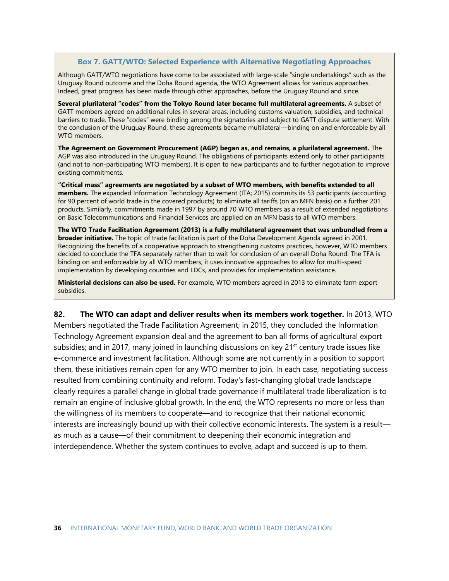#### **Box 7. GATT/WTO: Selected Experience with Alternative Negotiating Approaches**

Although GATT/WTO negotiations have come to be associated with large-scale "single undertakings" such as the Uruguay Round outcome and the Doha Round agenda, the WTO Agreement allows for various approaches. Indeed, great progress has been made through other approaches, before the Uruguay Round and since.

**Several plurilateral "codes" from the Tokyo Round later became full multilateral agreements.** A subset of GATT members agreed on additional rules in several areas, including customs valuation, subsidies, and technical barriers to trade. These "codes" were binding among the signatories and subject to GATT dispute settlement. With the conclusion of the Uruguay Round, these agreements became multilateral—binding on and enforceable by all WTO members.

**The Agreement on Government Procurement (AGP) began as, and remains, a plurilateral agreement.** The AGP was also introduced in the Uruguay Round. The obligations of participants extend only to other participants (and not to non-participating WTO members). It is open to new participants and to further negotiation to improve existing commitments.

**"Critical mass" agreements are negotiated by a subset of WTO members, with benefits extended to all members.** The expanded Information Technology Agreement (ITA; 2015) commits its 53 participants (accounting for 90 percent of world trade in the covered products) to eliminate all tariffs (on an MFN basis) on a further 201 products. Similarly, commitments made in 1997 by around 70 WTO members as a result of extended negotiations on Basic Telecommunications and Financial Services are applied on an MFN basis to all WTO members.

**The WTO Trade Facilitation Agreement (2013) is a fully multilateral agreement that was unbundled from a broader initiative.** The topic of trade facilitation is part of the Doha Development Agenda agreed in 2001. Recognizing the benefits of a cooperative approach to strengthening customs practices, however, WTO members decided to conclude the TFA separately rather than to wait for conclusion of an overall Doha Round. The TFA is binding on and enforceable by all WTO members; it uses innovative approaches to allow for multi-speed implementation by developing countries and LDCs, and provides for implementation assistance.

**Ministerial decisions can also be used.** For example, WTO members agreed in 2013 to eliminate farm export subsidies.

**82. The WTO can adapt and deliver results when its members work together.** In 2013, WTO Members negotiated the Trade Facilitation Agreement; in 2015, they concluded the Information Technology Agreement expansion deal and the agreement to ban all forms of agricultural export subsidies; and in 2017, many joined in launching discussions on key 21<sup>st</sup> century trade issues like e-commerce and investment facilitation. Although some are not currently in a position to support them, these initiatives remain open for any WTO member to join. In each case, negotiating success resulted from combining continuity and reform. Today's fast-changing global trade landscape clearly requires a parallel change in global trade governance if multilateral trade liberalization is to remain an engine of inclusive global growth. In the end, the WTO represents no more or less than the willingness of its members to cooperate—and to recognize that their national economic interests are increasingly bound up with their collective economic interests. The system is a result as much as a cause—of their commitment to deepening their economic integration and interdependence. Whether the system continues to evolve, adapt and succeed is up to them.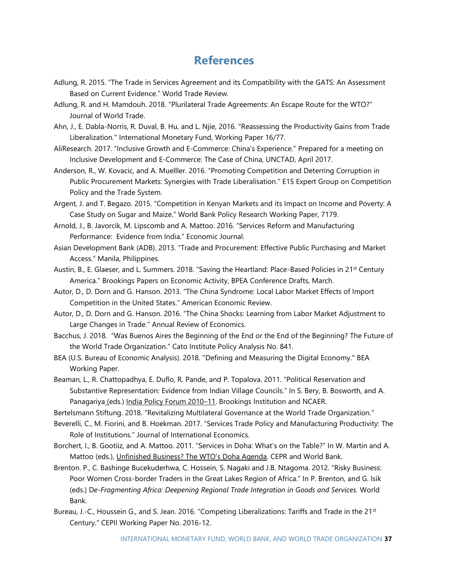# **References**

- <span id="page-36-0"></span>Adlung, R. 2015. "The Trade in Services Agreement and its Compatibility with the GATS: An Assessment Based on Current Evidence." World Trade Review.
- Adlung, R. and H. Mamdouh. 2018. "Plurilateral Trade Agreements: An Escape Route for the WTO?" Journal of World Trade.
- Ahn, J., E. Dabla-Norris, R. Duval, B. Hu, and L. Njie, 2016. "Reassessing the Productivity Gains from Trade Liberalization." International Monetary Fund, Working Paper 16/77.
- AliResearch. 2017. "Inclusive Growth and E-Commerce: China's Experience." Prepared for a meeting on Inclusive Development and E-Commerce: The Case of China, UNCTAD, April 2017.
- Anderson, R., W. Kovacic, and A. Muelller. 2016. "Promoting Competition and Deterring Corruption in Public Procurement Markets: Synergies with Trade Liberalisation." E15 Expert Group on Competition Policy and the Trade System.
- Argent, J. and T. Begazo. 2015. "Competition in Kenyan Markets and its Impact on Income and Poverty: A Case Study on Sugar and Maize." World Bank Policy Research Working Paper, 7179.
- Arnold, J., B. Javorcik, M. Lipscomb and A. Mattoo. 2016. "Services Reform and Manufacturing Performance: Evidence from India." Economic Journal.
- Asian Development Bank (ADB). 2013. "Trade and Procurement: Effective Public Purchasing and Market Access." Manila, Philippines.
- Austin, B., E. Glaeser, and L. Summers. 2018. "Saving the Heartland: Place-Based Policies in 21<sup>st</sup> Century America." Brookings Papers on Economic Activity, BPEA Conference Drafts, March.
- Autor, D., D. Dorn and G. Hanson. 2013. "The China Syndrome: Local Labor Market Effects of Import Competition in the United States." American Economic Review.
- Autor, D., D. Dorn and G. Hanson. 2016. "The China Shocks: Learning from Labor Market Adjustment to Large Changes in Trade." Annual Review of Economics.
- Bacchus, J. 2018. "Was Buenos Aires the Beginning of the End or the End of the Beginning? The Future of the World Trade Organization." Cato Institute Policy Analysis No. 841.
- BEA (U.S. Bureau of Economic Analysis). 2018. "Defining and Measuring the Digital Economy." BEA Working Paper.
- Beaman, L., R. Chattopadhya, E. Duflo, R. Pande, and P. Topalova. 2011. "Political Reservation and Substantive Representation: Evidence from Indian Village Councils." In S. Bery, B. Bosworth, and A. Panagariya (eds.) India Policy Forum 2010-11. Brookings Institution and NCAER.

Bertelsmann Stiftung. 2018. "Revitalizing Multilateral Governance at the World Trade Organization."

Beverelli, C., M. Fiorini, and B. Hoekman. 2017. "Services Trade Policy and Manufacturing Productivity: The Role of Institutions." Journal of International Economics.

- Borchert, I., B. Gootiiz, and A. Mattoo. 2011. "Services in Doha: What's on the Table?" In W. Martin and A. Mattoo (eds.), Unfinished Business? The WTO's Doha Agenda. CEPR and World Bank.
- Brenton. P., C. Bashinge Bucekuderhwa, C. Hossein, S. Nagaki and J.B. Ntagoma. 2012. "Risky Business: Poor Women Cross-border Traders in the Great Lakes Region of Africa." In P. Brenton, and G. Isik (eds.) D*e-Fragmenting Africa: Deepening Regional Trade Integration in Goods and Services.* World Bank.
- Bureau, J.-C., Houssein G., and S. Jean. 2016. "Competing Liberalizations: Tariffs and Trade in the 21<sup>st</sup> Century." CEPII Working Paper No. 2016-12.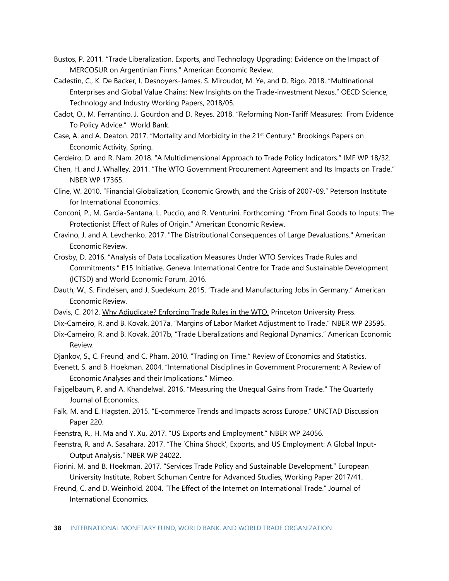- Bustos, P. 2011. "Trade Liberalization, Exports, and Technology Upgrading: Evidence on the Impact of MERCOSUR on Argentinian Firms." American Economic Review.
- Cadestin, C., K. De Backer, I. Desnoyers-James, S. Miroudot, M. Ye, and D. Rigo. 2018. "[Multinational](https://www.oecd-ilibrary.org/docserver/194ddb63-en.pdf?expires=1532467816&id=id&accname=guest&checksum=39B86D7618B5B9B847DD4F7E2993CBEC)  [Enterprises and Global Value Chains: New Insights on the Trade-investment Nexus.](https://www.oecd-ilibrary.org/docserver/194ddb63-en.pdf?expires=1532467816&id=id&accname=guest&checksum=39B86D7618B5B9B847DD4F7E2993CBEC)" OECD Science, Technology and Industry Working Papers, 2018/05.
- Cadot, O., M. Ferrantino, J. Gourdon and D. Reyes. 2018. "Reforming Non-Tariff Measures: From Evidence To Policy Advice." World Bank.
- Case, A. and A. Deaton. 2017. "Mortality and Morbidity in the 21<sup>st</sup> Century." Brookings Papers on Economic Activity, Spring.

Cerdeiro, D. and R. Nam. 2018. "A Multidimensional Approach to Trade Policy Indicators." IMF WP 18/32.

- Chen, H. and J. Whalley. 2011. "The WTO Government Procurement Agreement and Its Impacts on Trade." NBER WP 17365.
- Cline, W. 2010. "Financial Globalization, Economic Growth, and the Crisis of 2007-09." Peterson Institute for International Economics.
- Conconi, P., M. Garcia-Santana, L. Puccio, and R. Venturini. Forthcoming. "From Final Goods to Inputs: The Protectionist Effect of Rules of Origin." American Economic Review.
- Cravino, J. and A. Levchenko. 2017. "The Distributional Consequences of Large Devaluations." American Economic Review.
- Crosby, D. 2016. "Analysis of Data Localization Measures Under WTO Services Trade Rules and Commitments." E15 Initiative. Geneva: International Centre for Trade and Sustainable Development (ICTSD) and World Economic Forum, 2016.
- Dauth, W., S. Findeisen, and J. Suedekum. 2015. "Trade and Manufacturing Jobs in Germany." American Economic Review.
- Davis, C. 2012. Why Adjudicate? Enforcing Trade Rules in the WTO. Princeton University Press.
- Dix-Carneiro, R. and B. Kovak. 2017a, "Margins of Labor Market Adjustment to Trade." NBER WP 23595.
- Dix-Carneiro, R. and B. Kovak. 2017b, "Trade Liberalizations and Regional Dynamics." American Economic Review.
- Djankov, S., C. Freund, and C. Pham. 2010. "Trading on Time." Review of Economics and Statistics.
- Evenett, S. and B. Hoekman. 2004. "International Disciplines in Government Procurement: A Review of Economic Analyses and their Implications." Mimeo.
- Faijgelbaum, P. and A. Khandelwal. 2016. "Measuring the Unequal Gains from Trade." The Quarterly Journal of Economics.
- Falk, M. and E. Hagsten. 2015. "E-commerce Trends and Impacts across Europe." UNCTAD Discussion Paper 220.
- Feenstra, R., H. Ma and Y. Xu. 2017. "US Exports and Employment." NBER WP 24056.
- Feenstra, R. and A. Sasahara. 2017. "The 'China Shock', Exports, and US Employment: A Global Input-Output Analysis." NBER WP 24022.
- Fiorini, M. and B. Hoekman. 2017. "Services Trade Policy and Sustainable Development." European University Institute, Robert Schuman Centre for Advanced Studies, Working Paper 2017/41.
- Freund, C. and D. Weinhold. 2004. "The Effect of the Internet on International Trade." Journal of International Economics.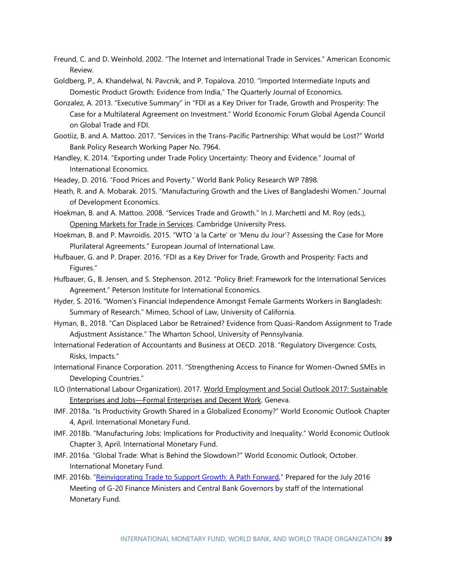- Freund, C. and D. Weinhold. 2002. "The Internet and International Trade in Services." American Economic Review.
- Goldberg, P., A. Khandelwal, N. Pavcnik, and P. Topalova. 2010. "Imported Intermediate Inputs and Domestic Product Growth: Evidence from India," The Quarterly Journal of Economics.
- Gonzalez, A. 2013. "Executive Summary" in "FDI as a Key Driver for Trade, Growth and Prosperity: The Case for a Multilateral Agreement on Investment." World Economic Forum Global Agenda Council on Global Trade and FDI.
- Gootiiz, B. and A. Mattoo. 2017. "Services in the Trans-Pacific Partnership: What would be Lost?" World Bank Policy Research Working Paper No. 7964.
- Handley, K. 2014. "Exporting under Trade Policy Uncertainty: Theory and Evidence." Journal of International Economics.
- Headey, D. 2016. "Food Prices and Poverty." World Bank Policy Research WP 7898.
- Heath, R. and A. Mobarak. 2015. "Manufacturing Growth and the Lives of Bangladeshi Women." Journal of Development Economics.
- Hoekman, B. and A. Mattoo. 2008. "Services Trade and Growth." In J. Marchetti and M. Roy (eds.), Opening Markets for Trade in Services. Cambridge University Press.
- Hoekman, B. and P. Mavroidis. 2015. "WTO 'a la Carte' or 'Menu du Jour'? Assessing the Case for More Plurilateral Agreements." European Journal of International Law.
- Hufbauer, G. and P. Draper. 2016. "FDI as a Key Driver for Trade, Growth and Prosperity: Facts and Figures."
- Hufbauer, G., B. Jensen, and S. Stephenson. 2012. "Policy Brief: Framework for the International Services Agreement." Peterson Institute for International Economics.
- Hyder, S. 2016. "Women's Financial Independence Amongst Female Garments Workers in Bangladesh: Summary of Research." Mimeo, School of Law, University of California.
- Hyman, B., 2018. "Can Displaced Labor be Retrained? Evidence from Quasi-Random Assignment to Trade Adjustment Assistance." The Wharton School, University of Pennsylvania.
- International Federation of Accountants and Business at OECD. 2018. "Regulatory Divergence: Costs, Risks, Impacts."
- International Finance Corporation. 2011. "Strengthening Access to Finance for Women-Owned SMEs in Developing Countries."
- ILO (International Labour Organization). 2017. World Employment and Social Outlook 2017: Sustainable Enterprises and Jobs—Formal Enterprises and Decent Work. Geneva.
- IMF. 2018a. "Is Productivity Growth Shared in a Globalized Economy?" World Economic Outlook Chapter 4, April. International Monetary Fund.
- IMF. 2018b. "Manufacturing Jobs: Implications for Productivity and Inequality." World Economic Outlook Chapter 3, April. International Monetary Fund.
- IMF. 2016a. "Global Trade: What is Behind the Slowdown?" World Economic Outlook, October. International Monetary Fund.
- IMF. 2016b. "[Reinvigorating Trade to Support Growth: A Path Forward](http://www.imf.org/external/np/g20/)," Prepared for the July 2016 Meeting of G-20 Finance Ministers and Central Bank Governors by staff of the International Monetary Fund.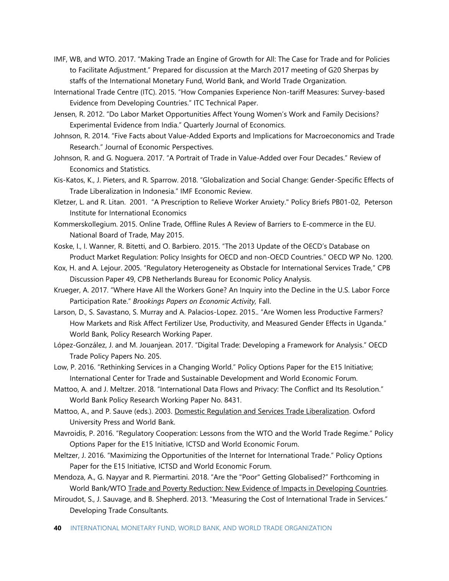- IMF, WB, and WTO. 2017. "Making Trade an Engine of Growth for All: The Case for Trade and for Policies to Facilitate Adjustment." Prepared for discussion at the March 2017 meeting of G20 Sherpas by staffs of the International Monetary Fund, World Bank, and World Trade Organization.
- International Trade Centre (ITC). 2015. "How Companies Experience Non-tariff Measures: Survey-based Evidence from Developing Countries." ITC Technical Paper.
- Jensen, R. 2012. "Do Labor Market Opportunities Affect Young Women's Work and Family Decisions? Experimental Evidence from India." Quarterly Journal of Economics.
- Johnson, R. 2014. "Five Facts about Value-Added Exports and Implications for Macroeconomics and Trade Research." Journal of Economic Perspectives.
- Johnson, R. and G. Noguera. 2017. "A Portrait of Trade in Value-Added over Four Decades." Review of Economics and Statistics.
- Kis-Katos, K., J. Pieters, and R. Sparrow. 2018. "Globalization and Social Change: Gender-Specific Effects of Trade Liberalization in Indonesia." IMF Economic Review.
- Kletzer, L. and R. Litan. 2001. "[A Prescription to Relieve Worker Anxiety.](https://ideas.repec.org/p/iie/pbrief/pb01-02.html)" [Policy Briefs](https://ideas.repec.org/s/iie/pbrief.html) PB01-02, Peterson Institute for International Economics
- Kommerskollegium. 2015. Online Trade, Offline Rules A Review of Barriers to E-commerce in the EU. National Board of Trade, May 2015.
- Koske, I., I. Wanner, R. Bitetti, and O. Barbiero. 2015. "The 2013 Update of the OECD's Database on Product Market Regulation: Policy Insights for OECD and non-OECD Countries." OECD WP No. 1200.
- Kox, H. and A. Lejour. 2005. "Regulatory Heterogeneity as Obstacle for International Services Trade," CPB Discussion Paper 49, CPB Netherlands Bureau for Economic Policy Analysis.
- Krueger, A. 2017. "Where Have All the Workers Gone? An Inquiry into the Decline in the U.S. Labor Force Participation Rate." *Brookings Papers on Economic Activity,* Fall.
- Larson, D., S. Savastano, S. Murray and A. Palacios-Lopez. 2015.. "Are Women less Productive Farmers? How Markets and Risk Affect Fertilizer Use, Productivity, and Measured Gender Effects in Uganda." World Bank, Policy Research Working Paper.
- López-González, J. and M. Jouanjean. 2017. "Digital Trade: Developing a Framework for Analysis." OECD Trade Policy Papers No. 205.
- Low, P. 2016. "Rethinking Services in a Changing World." Policy Options Paper for the E15 Initiative; International Center for Trade and Sustainable Development and World Economic Forum.
- Mattoo, A. and J. Meltzer. 2018. "International Data Flows and Privacy: The Conflict and Its Resolution." World Bank Policy Research Working Paper No. 8431.
- Mattoo, A., and P. Sauve (eds.). 2003. Domestic Regulation and Services Trade Liberalization. Oxford University Press and World Bank.
- Mavroidis, P. 2016. "Regulatory Cooperation: Lessons from the WTO and the World Trade Regime." Policy Options Paper for the E15 Initiative, ICTSD and World Economic Forum.
- Meltzer, J. 2016. "Maximizing the Opportunities of the Internet for International Trade." Policy Options Paper for the E15 Initiative, ICTSD and World Economic Forum.
- Mendoza, A., G. Nayyar and R. Piermartini. 2018. "Are the "Poor" Getting Globalised?" Forthcoming in World Bank/WTO Trade and Poverty Reduction: New Evidence of Impacts in Developing Countries.
- Miroudot, S., J. Sauvage, and B. Shepherd. 2013. "Measuring the Cost of International Trade in Services." Developing Trade Consultants.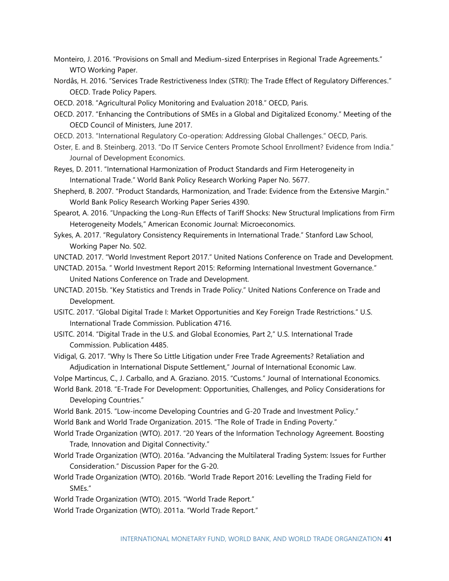- Monteiro, J. 2016. "Provisions on Small and Medium-sized Enterprises in Regional Trade Agreements." WTO Working Paper.
- Nordås, H. 2016. "Services Trade Restrictiveness Index (STRI): The Trade Effect of Regulatory Differences." OECD. Trade Policy Papers.
- OECD. 2018. "Agricultural Policy Monitoring and Evaluation 2018." OECD, Paris.
- OECD. 2017. "Enhancing the Contributions of SMEs in a Global and Digitalized Economy." Meeting of the OECD Council of Ministers, June 2017.
- OECD. 2013. "International Regulatory Co-operation: Addressing Global Challenges." OECD, Paris.
- Oster, E. and B. Steinberg. 2013. "Do IT Service Centers Promote School Enrollment? Evidence from India." Journal of Development Economics.
- Reyes, D. 2011. "International Harmonization of Product Standards and Firm Heterogeneity in International Trade." World Bank Policy Research Working Paper No. 5677.
- Shepherd, B. 2007. "Product Standards, Harmonization, and Trade: Evidence from the Extensive Margin." World Bank Policy Research Working Paper Series 4390.
- Spearot, A. 2016. "Unpacking the Long-Run Effects of Tariff Shocks: New Structural Implications from Firm Heterogeneity Models," American Economic Journal: Microeconomics.
- Sykes, A. 2017. "Regulatory Consistency Requirements in International Trade." Stanford Law School, Working Paper No. 502.
- UNCTAD. 2017. "World Investment Report 2017." United Nations Conference on Trade and Development.
- UNCTAD. 2015a. " World Investment Report 2015: Reforming International Investment Governance." United Nations Conference on Trade and Development.
- UNCTAD. 2015b. "Key Statistics and Trends in Trade Policy." United Nations Conference on Trade and Development.
- USITC. 2017. "Global Digital Trade I: Market Opportunities and Key Foreign Trade Restrictions." U.S. International Trade Commission. Publication 4716.
- USITC. 2014. "Digital Trade in the U.S. and Global Economies, Part 2," U.S. International Trade Commission. Publication 4485.
- Vidigal, G. 2017. "Why Is There So Little Litigation under Free Trade Agreements? Retaliation and Adjudication in International Dispute Settlement," Journal of International Economic Law.

Volpe Martincus, C., J. Carballo, and A. Graziano. 2015. "Customs." Journal of International Economics.

- World Bank. 2018. "E-Trade For Development: Opportunities, Challenges, and Policy Considerations for Developing Countries."
- World Bank. 2015. "Low-income Developing Countries and G-20 Trade and Investment Policy."
- World Bank and World Trade Organization. 2015. "The Role of Trade in Ending Poverty."
- World Trade Organization (WTO). 2017. "20 Years of the Information Technology Agreement. Boosting Trade, Innovation and Digital Connectivity."
- World Trade Organization (WTO). 2016a. "Advancing the Multilateral Trading System: Issues for Further Consideration." Discussion Paper for the G-20.
- World Trade Organization (WTO). 2016b. "World Trade Report 2016: Levelling the Trading Field for SMEs."
- World Trade Organization (WTO). 2015. "World Trade Report."
- World Trade Organization (WTO). 2011a. "World Trade Report."